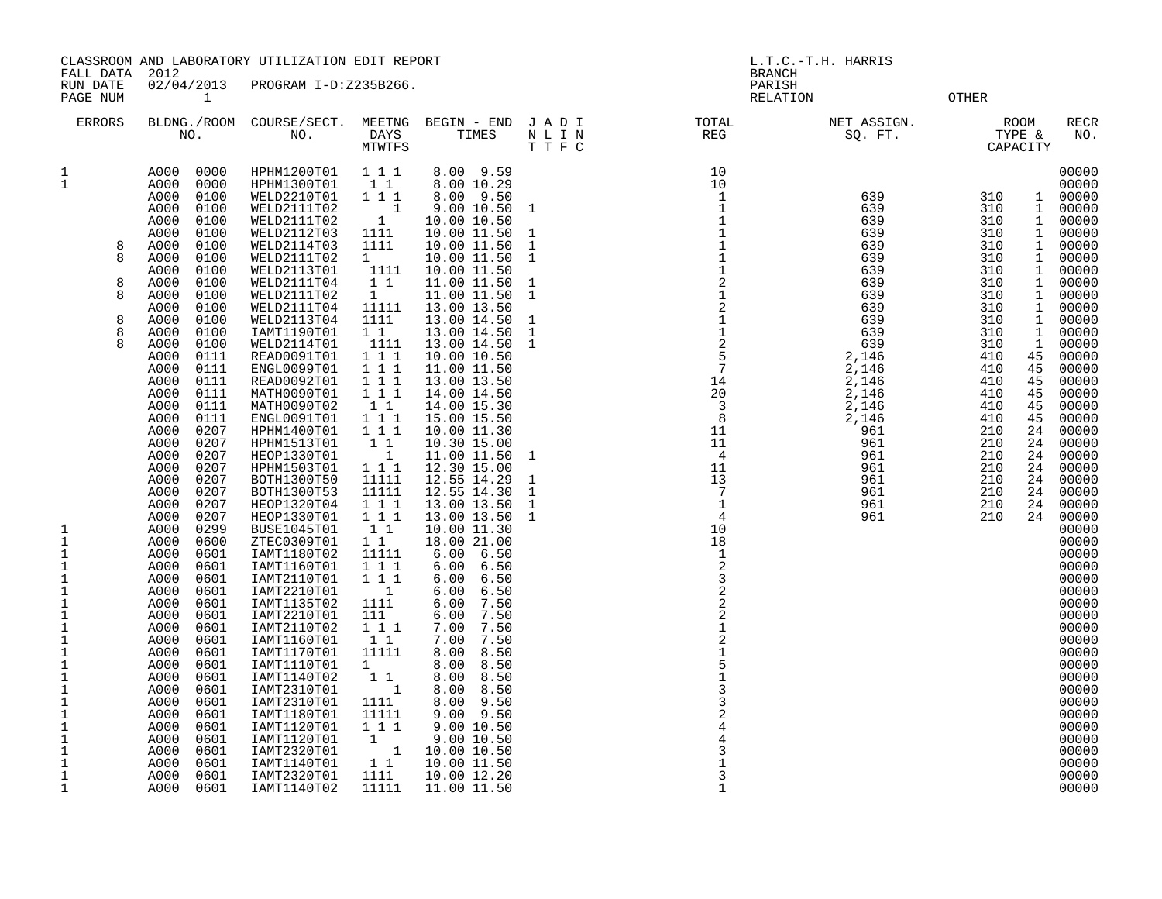FALL DATA 2012 BRANCH RUN DATE 02/04/2013 PROGRAM I-D:Z235B266.<br>PAGE NUM 1

PAGE NUM 1 RELATION OTHER

| <b>ERRORS</b>                                                                                                                                                                                                                                                                                                                         | BLDNG./ROOM<br>NO.                                                                                                                                                                                                                                                                                                                                                                                                                                                                                                                                                                                                                                                                                                                                                                                                           | COURSE/SECT.<br>NO.                                                                                                                                                                                                                                                                                                                                                                                                                                                                                                                                                                                                                                                                                                                                                               | MEETNG<br>DAYS<br>MTWTFS                                                                                                                                                                                                                                                                                                                                                                                                                                                                                                 | BEGIN - END<br>TIMES                                                                                                                                                                                                                                                                                                                                                                                                                                                                                                                                                                                                                                                                                                                                                          | JADI<br>N L I N<br>T T F C                                                                                                                                                                                 | TOTAL<br>$\mathop{\mathrm{REG}}$                                                                                                                                                                                                                                                                                                                                                                                                                                                                                                                                                                      | NET ASSIGN.<br>SQ. FT.                                                                                                                                                                                | <b>ROOM</b><br>RECR<br>TYPE &<br>NO.<br>CAPACITY                                                                                                                                                                                                                                                                                                                                                                                                                                                                                                                                                                                                                                                                                                                                                                                                                                                                                       |
|---------------------------------------------------------------------------------------------------------------------------------------------------------------------------------------------------------------------------------------------------------------------------------------------------------------------------------------|------------------------------------------------------------------------------------------------------------------------------------------------------------------------------------------------------------------------------------------------------------------------------------------------------------------------------------------------------------------------------------------------------------------------------------------------------------------------------------------------------------------------------------------------------------------------------------------------------------------------------------------------------------------------------------------------------------------------------------------------------------------------------------------------------------------------------|-----------------------------------------------------------------------------------------------------------------------------------------------------------------------------------------------------------------------------------------------------------------------------------------------------------------------------------------------------------------------------------------------------------------------------------------------------------------------------------------------------------------------------------------------------------------------------------------------------------------------------------------------------------------------------------------------------------------------------------------------------------------------------------|--------------------------------------------------------------------------------------------------------------------------------------------------------------------------------------------------------------------------------------------------------------------------------------------------------------------------------------------------------------------------------------------------------------------------------------------------------------------------------------------------------------------------|-------------------------------------------------------------------------------------------------------------------------------------------------------------------------------------------------------------------------------------------------------------------------------------------------------------------------------------------------------------------------------------------------------------------------------------------------------------------------------------------------------------------------------------------------------------------------------------------------------------------------------------------------------------------------------------------------------------------------------------------------------------------------------|------------------------------------------------------------------------------------------------------------------------------------------------------------------------------------------------------------|-------------------------------------------------------------------------------------------------------------------------------------------------------------------------------------------------------------------------------------------------------------------------------------------------------------------------------------------------------------------------------------------------------------------------------------------------------------------------------------------------------------------------------------------------------------------------------------------------------|-------------------------------------------------------------------------------------------------------------------------------------------------------------------------------------------------------|----------------------------------------------------------------------------------------------------------------------------------------------------------------------------------------------------------------------------------------------------------------------------------------------------------------------------------------------------------------------------------------------------------------------------------------------------------------------------------------------------------------------------------------------------------------------------------------------------------------------------------------------------------------------------------------------------------------------------------------------------------------------------------------------------------------------------------------------------------------------------------------------------------------------------------------|
| $\mathbf 1$<br>$\mathbf{1}$<br>8<br>8<br>8<br>8<br>8<br>8<br>8<br>1<br>$\mathbf 1$<br>$\mathbf 1$<br>$\mathbf{1}$<br>$\mathbf 1$<br>$\mathbf 1$<br>$\mathbf{1}$<br>$1\,$<br>$1\,$<br>$\mathbf{1}$<br>1<br>$1\,$<br>$\mathbf 1$<br>$\mathbf 1$<br>$\mathbf 1$<br>$\mathbf{1}$<br>$\mathbf{1}$<br>$\mathbf{1}$<br>1<br>1<br>$\mathbf 1$ | 0000<br>A000<br>0000<br>A000<br>A000<br>0100<br>A000<br>0100<br>A000<br>0100<br>A000<br>0100<br>A000<br>0100<br>A000<br>0100<br>A000<br>0100<br>0100<br>A000<br>A000<br>0100<br>A000<br>0100<br>0100<br>A000<br>0100<br>A000<br>A000<br>0100<br>A000<br>0111<br>A000<br>0111<br>A000<br>0111<br>A000<br>0111<br>A000<br>0111<br>A000<br>0111<br>A000<br>0207<br>A000<br>0207<br>A000<br>0207<br>0207<br>A000<br>A000<br>0207<br>A000<br>0207<br>0207<br>A000<br>A000<br>0207<br>A000<br>0299<br>A000<br>0600<br>A000<br>0601<br>A000<br>0601<br>A000<br>0601<br>A000<br>0601<br>A000<br>0601<br>A000<br>0601<br>0601<br>A000<br>A000<br>0601<br>0601<br>A000<br>A000<br>0601<br>A000<br>0601<br>0601<br>A000<br>A000<br>0601<br>A000<br>0601<br>A000<br>0601<br>A000<br>0601<br>A000<br>0601<br>A000<br>0601<br>0601<br>A000 | HPHM1200T01<br>HPHM1300T01<br>WELD2210T01<br>WELD2111T02<br>WELD2111T02<br>WELD2112T03<br>WELD2114T03<br>WELD2111T02<br>WELD2113T01<br>WELD2111T04<br>WELD2111T02<br>WELD2111T04<br>WELD2113T04<br>IAMT1190T01<br>WELD2114T01<br>READ0091T01<br>ENGL0099T01<br>READ0092T01<br>MATH0090T01<br>MATH0090T02<br>ENGL0091T01<br>HPHM1400T01<br>HPHM1513T01<br>HEOP1330T01<br>HPHM1503T01<br>BOTH1300T50<br>BOTH1300T53<br>HEOP1320T04<br>HEOP1330T01<br><b>BUSE1045T01</b><br>ZTEC0309T01<br>IAMT1180T02<br>IAMT1160T01<br>IAMT2110T01<br>IAMT2210T01<br>IAMT1135T02<br>IAMT2210T01<br>IAMT2110T02<br>IAMT1160T01<br>IAMT1170T01<br>IAMT1110T01<br>IAMT1140T02<br>IAMT2310T01<br>IAMT2310T01<br>IAMT1180T01<br>IAMT1120T01<br>IAMT1120T01<br>IAMT2320T01<br>IAMT1140T01<br>IAMT2320T01 | 1 1 1<br>$1\quad1$<br>111<br>$\mathbf{1}$<br>1<br>1111<br>1111<br>$\mathbf{1}$<br>1111<br>$1\quad1$<br>$\mathbf{1}$<br>11111<br>1111<br>$1\quad1$<br>1111<br>111<br>111<br>$1 1 1$<br>1 1 1<br>$1\quad1$<br>1 1 1<br>111<br>$1\quad1$<br>$\mathbf 1$<br>111<br>11111<br>11111<br>1 1 1<br>111<br>$1\quad1$<br>1 1<br>11111<br>111<br>111<br>1<br>1111<br>111<br>111<br>1 1<br>11111<br>$\mathbf 1$<br>$1\quad1$<br>$\mathbf{1}$<br>1111<br>11111<br>111<br>$\mathbf{1}$<br>$\overline{\phantom{0}}$<br>$1\quad1$<br>1111 | 8.00 9.59<br>8.00 10.29<br>8.00 9.50<br>9.00 10.50<br>10.00 10.50<br>10.00 11.50<br>10.00 11.50<br>10.00 11.50<br>10.00 11.50<br>11.00 11.50<br>11.00 11.50<br>13.00 13.50<br>13.00 14.50<br>13.00 14.50<br>13.00 14.50<br>10.00 10.50<br>11.00 11.50<br>13.00 13.50<br>14.00 14.50<br>14.00 15.30<br>15.00 15.50<br>10.00 11.30<br>10.30 15.00<br>11.00 11.50<br>12.30 15.00<br>12.55 14.29<br>12.55 14.30<br>13.00 13.50<br>13.00 13.50<br>10.00 11.30<br>18.00 21.00<br>6.50<br>6.00<br>6.00<br>6.50<br>6.00<br>6.50<br>6.50<br>6.00<br>7.50<br>6.00<br>6.00<br>7.50<br>7.50<br>7.00<br>7.50<br>7.00<br>8.00<br>8.50<br>8.50<br>8.00<br>8.50<br>8.00<br>8.00<br>8.50<br>9.50<br>8.00<br>9.00 9.50<br>9.00 10.50<br>9.00 10.50<br>10.00 10.50<br>10.00 11.50<br>10.00 12.20 | $\mathbf{1}$<br>$\mathbf{1}$<br>$1\,$<br>$\mathbf{1}$<br>$\mathbf{1}$<br>$\mathbf 1$<br>$\mathbf{1}$<br>$1\,$<br>$\mathbf{1}$<br>$\mathbf{1}$<br>$\mathbf 1$<br>$\mathbf 1$<br>$\mathbf 1$<br>$\mathbf{1}$ | $\begin{array}{cccc} \text{F} & \text{C} & & & & & \text{---} \\ & & & & & 10 & & \\ & & & 10 & & & \\ & & 10 & & & & \\ & 1 & & & & & \\ & 1 & & & & & \\ & 1 & & & & & \\ & 1 & & & & & \\ & 1 & & & & & \\ & 1 & & & & & \\ & 1 & & & & & \\ & 1 & & & & & \\ & 1 & & & & & \\ & 1 & & & & & \\ & 1 & & & & & \\ & 1 & & & & & \\ & 1 & & & & & \\ & 1 & & & & & \\ & 1 & & & & & \\ & 1 & & & & & \\ & 1 & & & & & \\ & 1 & & & &$<br>1<br>2<br>3<br>2<br>2<br>2<br>1<br>5<br>1<br>5<br>4<br>3<br>2<br>4<br>3<br><br><br><br><br><br><br><br><br><br><br><br><br><br><br><br><br>$\mathbf 1$<br>3 | 639<br>639<br>639<br>639<br>639<br>639<br>639<br>639<br>639<br>639<br>639<br>639<br>639<br>2,146<br>2,146<br>2,146<br>2,146<br>2,146<br>2,146<br>961<br>961<br>961<br>961<br>961<br>961<br>961<br>961 | 00000<br>00000<br>310<br>$\mathbf 1$<br>00000<br>310<br>$\mathbf{1}$<br>00000<br>310<br>$\mathbf 1$<br>00000<br>$\mathbf 1$<br>310<br>00000<br>00000<br>310<br>$\mathbf 1$<br>$\mathbf 1$<br>310<br>00000<br>$\mathbf 1$<br>310<br>00000<br>310<br>1<br>00000<br>$1\,$<br>310<br>00000<br>$\mathbf 1$<br>00000<br>310<br>$\mathbf{1}$<br>310<br>00000<br>$\mathbf{1}$<br>310<br>00000<br>310<br>$\mathbf{1}$<br>00000<br>00000<br>410<br>45<br>410<br>45<br>00000<br>410<br>45<br>00000<br>00000<br>410<br>45<br>45<br>410<br>00000<br>45<br>00000<br>410<br>24<br>00000<br>210<br>210<br>24<br>00000<br>210<br>24<br>00000<br>24<br>00000<br>210<br>210<br>24<br>00000<br>24<br>210<br>00000<br>24<br>00000<br>210<br>210<br>24<br>00000<br>00000<br>00000<br>00000<br>00000<br>00000<br>00000<br>00000<br>00000<br>00000<br>00000<br>00000<br>00000<br>00000<br>00000<br>00000<br>00000<br>00000<br>00000<br>00000<br>00000<br>00000 |
| 1                                                                                                                                                                                                                                                                                                                                     | 0601<br>A000                                                                                                                                                                                                                                                                                                                                                                                                                                                                                                                                                                                                                                                                                                                                                                                                                 | IAMT1140T02                                                                                                                                                                                                                                                                                                                                                                                                                                                                                                                                                                                                                                                                                                                                                                       | 11111                                                                                                                                                                                                                                                                                                                                                                                                                                                                                                                    | 11.00 11.50                                                                                                                                                                                                                                                                                                                                                                                                                                                                                                                                                                                                                                                                                                                                                                   |                                                                                                                                                                                                            | $\mathbf{1}$                                                                                                                                                                                                                                                                                                                                                                                                                                                                                                                                                                                          |                                                                                                                                                                                                       | 00000                                                                                                                                                                                                                                                                                                                                                                                                                                                                                                                                                                                                                                                                                                                                                                                                                                                                                                                                  |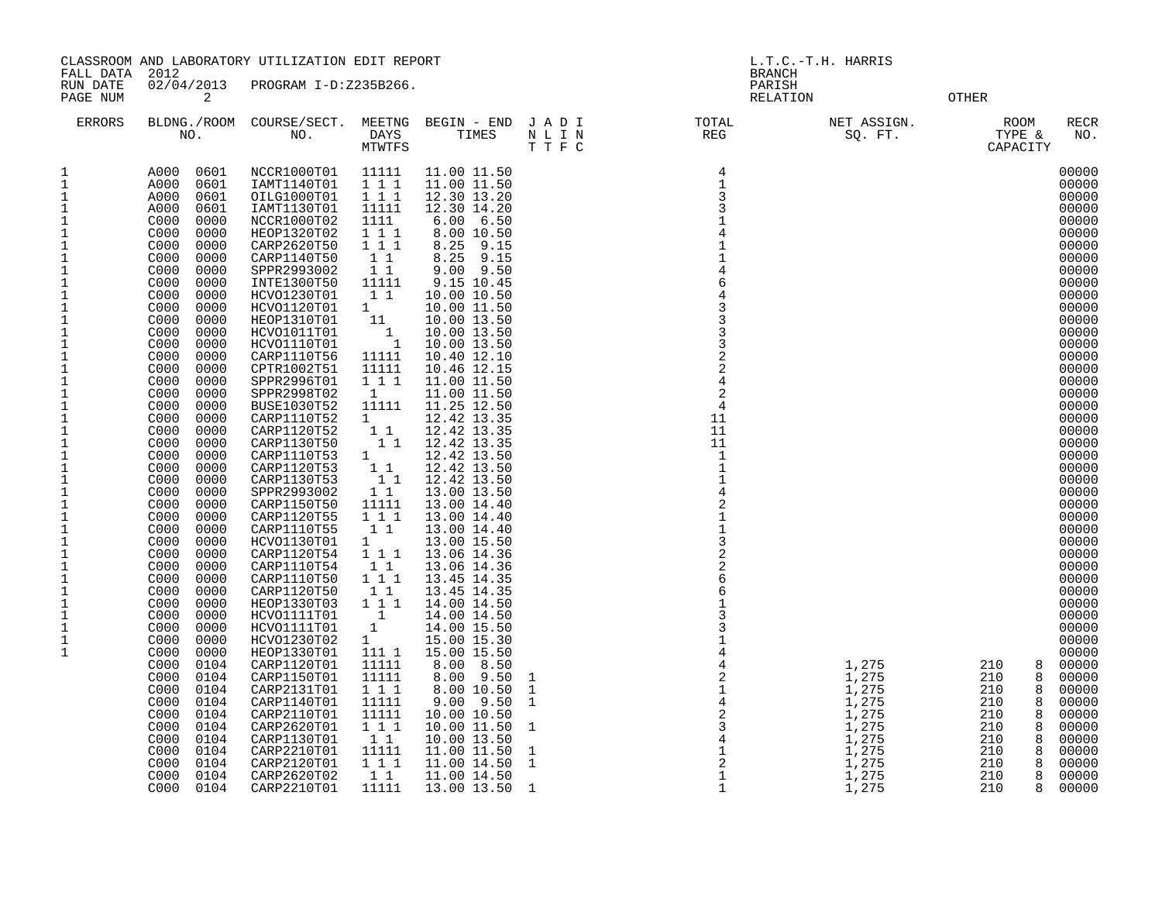| FALL DATA 2012                                                                                                                                                                                                                                                                                                                                                                                                                                                                            |                                                                                                                                                                                                                                                                                                                                                                                                                                                                                                                                                                                                                                                                                                                                                                                                                                              | CLASSROOM AND LABORATORY UTILIZATION EDIT REPORT                                                                                                                                                                                                                                                                                                                                                                                                                                                                                                                                                                                                                                                                                                                                                 |                                                                                                                                                                                                                                                                                                                                                                                                                                                                                                                           |                                                                                                                                                                                                                                                                                                                                                                                                                                                                                                                                                                                                                                                                                                                                                                                             |                                                                                                               | L.T.C.-T.H. HARRIS<br><b>BRANCH</b> |                                                                                                 |                                                                                                                                  |                                                                                                                                                                                                                                                                                                                                                                                                                                                                         |  |
|-------------------------------------------------------------------------------------------------------------------------------------------------------------------------------------------------------------------------------------------------------------------------------------------------------------------------------------------------------------------------------------------------------------------------------------------------------------------------------------------|----------------------------------------------------------------------------------------------------------------------------------------------------------------------------------------------------------------------------------------------------------------------------------------------------------------------------------------------------------------------------------------------------------------------------------------------------------------------------------------------------------------------------------------------------------------------------------------------------------------------------------------------------------------------------------------------------------------------------------------------------------------------------------------------------------------------------------------------|--------------------------------------------------------------------------------------------------------------------------------------------------------------------------------------------------------------------------------------------------------------------------------------------------------------------------------------------------------------------------------------------------------------------------------------------------------------------------------------------------------------------------------------------------------------------------------------------------------------------------------------------------------------------------------------------------------------------------------------------------------------------------------------------------|---------------------------------------------------------------------------------------------------------------------------------------------------------------------------------------------------------------------------------------------------------------------------------------------------------------------------------------------------------------------------------------------------------------------------------------------------------------------------------------------------------------------------|---------------------------------------------------------------------------------------------------------------------------------------------------------------------------------------------------------------------------------------------------------------------------------------------------------------------------------------------------------------------------------------------------------------------------------------------------------------------------------------------------------------------------------------------------------------------------------------------------------------------------------------------------------------------------------------------------------------------------------------------------------------------------------------------|---------------------------------------------------------------------------------------------------------------|-------------------------------------|-------------------------------------------------------------------------------------------------|----------------------------------------------------------------------------------------------------------------------------------|-------------------------------------------------------------------------------------------------------------------------------------------------------------------------------------------------------------------------------------------------------------------------------------------------------------------------------------------------------------------------------------------------------------------------------------------------------------------------|--|
| RUN DATE<br>PAGE NUM                                                                                                                                                                                                                                                                                                                                                                                                                                                                      | 02/04/2013<br>2                                                                                                                                                                                                                                                                                                                                                                                                                                                                                                                                                                                                                                                                                                                                                                                                                              | PROGRAM I-D:Z235B266.                                                                                                                                                                                                                                                                                                                                                                                                                                                                                                                                                                                                                                                                                                                                                                            |                                                                                                                                                                                                                                                                                                                                                                                                                                                                                                                           |                                                                                                                                                                                                                                                                                                                                                                                                                                                                                                                                                                                                                                                                                                                                                                                             |                                                                                                               |                                     | PARISH<br>RELATION                                                                              | OTHER                                                                                                                            |                                                                                                                                                                                                                                                                                                                                                                                                                                                                         |  |
| <b>ERRORS</b>                                                                                                                                                                                                                                                                                                                                                                                                                                                                             |                                                                                                                                                                                                                                                                                                                                                                                                                                                                                                                                                                                                                                                                                                                                                                                                                                              |                                                                                                                                                                                                                                                                                                                                                                                                                                                                                                                                                                                                                                                                                                                                                                                                  | MTWTFS                                                                                                                                                                                                                                                                                                                                                                                                                                                                                                                    |                                                                                                                                                                                                                                                                                                                                                                                                                                                                                                                                                                                                                                                                                                                                                                                             | BLDNG./ROOM COURSE/SECT. MEETNG BEGIN – END J A D I TOTAL TOTAL NO. DAYS TIMES N L I N REG REG MULI N<br>TTFC |                                     | NET ASSIGN.<br>SQ. FT.                                                                          | ROOM<br>TYPE &<br>CAPACITY                                                                                                       | RECR<br>NO.                                                                                                                                                                                                                                                                                                                                                                                                                                                             |  |
| 1<br>$\mathbf{1}$<br>$\mathbf{1}$<br>1<br>1<br>1<br>$1\,$<br>1<br>$\mathbf 1$<br>$\mathbf{1}$<br>$\mathbf 1$<br>$1\,$<br>$1\,$<br>$1\,$<br>$\mathbf{1}$<br>$1\,$<br>$\mathbf{1}$<br>$1\,$<br>$\mathbf{1}$<br>$\mathbf{1}$<br>$\mathbf{1}$<br>$\mathbf 1$<br>$\mathbf{1}$<br>$\mathbf{1}$<br>$\mathbf{1}$<br>$\mathbf{1}$<br>1<br>$\mathbf{1}$<br>1<br>$1\,$<br>$\mathbf{1}$<br>$\mathbf{1}$<br>1<br>$\mathbf{1}$<br>1<br>$\mathbf 1$<br>1<br>$\mathbf{1}$<br>$\mathbf{1}$<br>$\mathbf{1}$ | A000<br>0601<br>A000<br>0601<br>A000<br>0601<br>A000<br>0601<br>C000<br>0000<br>C000<br>0000<br>C000<br>0000<br>C000<br>0000<br>C000<br>0000<br>C000<br>0000<br>C000<br>0000<br>C000<br>0000<br>C000<br>0000<br>C000<br>0000<br>C000<br>0000<br>C000<br>0000<br>C000<br>0000<br>C000<br>0000<br>C000<br>0000<br>C000<br>0000<br>C000<br>0000<br>C000<br>0000<br>C000<br>0000<br>0000<br>C000<br>C000<br>0000<br>C000<br>0000<br>C000<br>0000<br>C000<br>0000<br>C000<br>0000<br>C000<br>0000<br>C000<br>0000<br>C000<br>0000<br>C000<br>0000<br>C000<br>0000<br>0000<br>C000<br>C000<br>0000<br>C000<br>0000<br>C000<br>0000<br>C000<br>0000<br>C000<br>0000<br>C000<br>0104<br>C000<br>0104<br>C000<br>0104<br>C000<br>0104<br>C000<br>0104<br>C000<br>0104<br>C000<br>0104<br>C000<br>0104<br>C000<br>0104<br>C000<br>0104<br>C000<br>0104 | NCCR1000T01<br>IAMT1140T01<br>OILG1000T01<br>IAMT1130T01<br>NCCR1000T02<br>HEOP1320T02<br>CARP2620T50<br>CARP1140T50<br>SPPR2993002<br>INTE1300T50<br>HCV01230T01<br>HCVO1120T01<br>HEOP1310T01<br>HCVO1011T01<br>HCVO1110T01<br>CARP1110T56<br>CPTR1002T51<br>SPPR2996T01<br>SPPR2998T02<br><b>BUSE1030T52</b><br>CARP1110T52<br>CARP1120T52<br>CARP1130T50<br>CARP1110T53<br>CARP1120T53<br>CARP1130T53<br>SPPR2993002<br>CARP1150T50<br>CARP1120T55<br>CARP1110T55<br>HCV01130T01<br>CARP1120T54<br>CARP1110T54<br>CARP1110T50<br>CARP1120T50<br>HEOP1330T03<br>HCVO1111T01<br>HCVO1111T01<br>HCVO1230T02<br>HEOP1330T01<br>CARP1120T01<br>CARP1150T01<br>CARP2131T01<br>CARP1140T01<br>CARP2110T01<br>CARP2620T01<br>CARP1130T01<br>CARP2210T01<br>CARP2120T01<br>CARP2620T02<br>CARP2210T01 | 11111<br>111<br>1 1 1<br>11111<br>1111<br>111<br>1 1 1<br>1 1<br>$1\quad1$<br>11111<br>1 1<br>$1 \quad$<br>11<br>$\mathbf{1}$<br>$\overline{1}$<br>11111<br>11111<br>1 1 1<br>1<br>11111<br>$1 \quad$<br>$1\quad1$<br>11<br>$1 \quad \Box$<br>$1\quad1$<br>11<br>$1\quad1$<br>11111<br>1 1 1<br>1 1<br>$1 \quad \blacksquare$<br>1 1 1<br>1 1<br>1 1 1<br>11<br>1 1 1<br>$\overline{1}$<br>$\mathbf{1}$<br>1<br>111 1<br>11111<br>11111<br>1 1 1<br>11111<br>11111<br>1 1 1<br>11<br>11111<br>1 1 1<br>$1\quad1$<br>11111 | 11.00 11.50<br>11.00 11.50<br>12.30 13.20<br>12.30 14.20<br>$6.00 \quad 6.50$<br>8.00 10.50<br>8.25 9.15<br>8.25 9.15<br>$9.00$ $9.50$<br>9.15 10.45<br>10.00 10.50<br>10.00 11.50<br>10.00 13.50<br>10.00 13.50<br>10.00 13.50<br>10.40 12.10<br>10.46 12.15<br>11.00 11.50<br>11.00 11.50<br>11.25 12.50<br>12.42 13.35<br>12.42 13.35<br>12.42 13.35<br>12.42 13.50<br>12.42 13.50<br>12.42 13.50<br>13.00 13.50<br>13.00 14.40<br>13.00 14.40<br>13.00 14.40<br>13.00 15.50<br>13.06 14.36<br>13.06 14.36<br>13.45 14.35<br>13.45 14.35<br>14.00 14.50<br>14.00 14.50<br>14.00 15.50<br>15.00 15.30<br>15.00 15.50<br>8.00<br>8.50<br>8.00 9.50<br>8.00 10.50<br>$9.00$ $9.50$<br>10.00 10.50<br>10.00 11.50<br>10.00 13.50<br>11.00 11.50<br>11.00 14.50<br>11.00 14.50<br>13.00 13.50 |                                                                                                               |                                     | 1,275<br>1,275<br>1,275<br>1,275<br>1,275<br>1,275<br>1,275<br>1,275<br>1,275<br>1,275<br>1,275 | 210<br>8<br>210<br>8<br>210<br>8<br>210<br>8<br>210<br>8<br>210<br>8<br>210<br>8<br>210<br>8<br>210<br>8<br>210<br>8<br>210<br>8 | 00000<br>00000<br>00000<br>00000<br>00000<br>00000<br>00000<br>00000<br>00000<br>00000<br>00000<br>00000<br>00000<br>00000<br>00000<br>00000<br>00000<br>00000<br>00000<br>00000<br>00000<br>00000<br>00000<br>00000<br>00000<br>00000<br>00000<br>00000<br>00000<br>00000<br>00000<br>00000<br>00000<br>00000<br>00000<br>00000<br>00000<br>00000<br>00000<br>00000<br>00000<br>00000<br>00000<br>00000<br>00000<br>00000<br>00000<br>00000<br>00000<br>00000<br>00000 |  |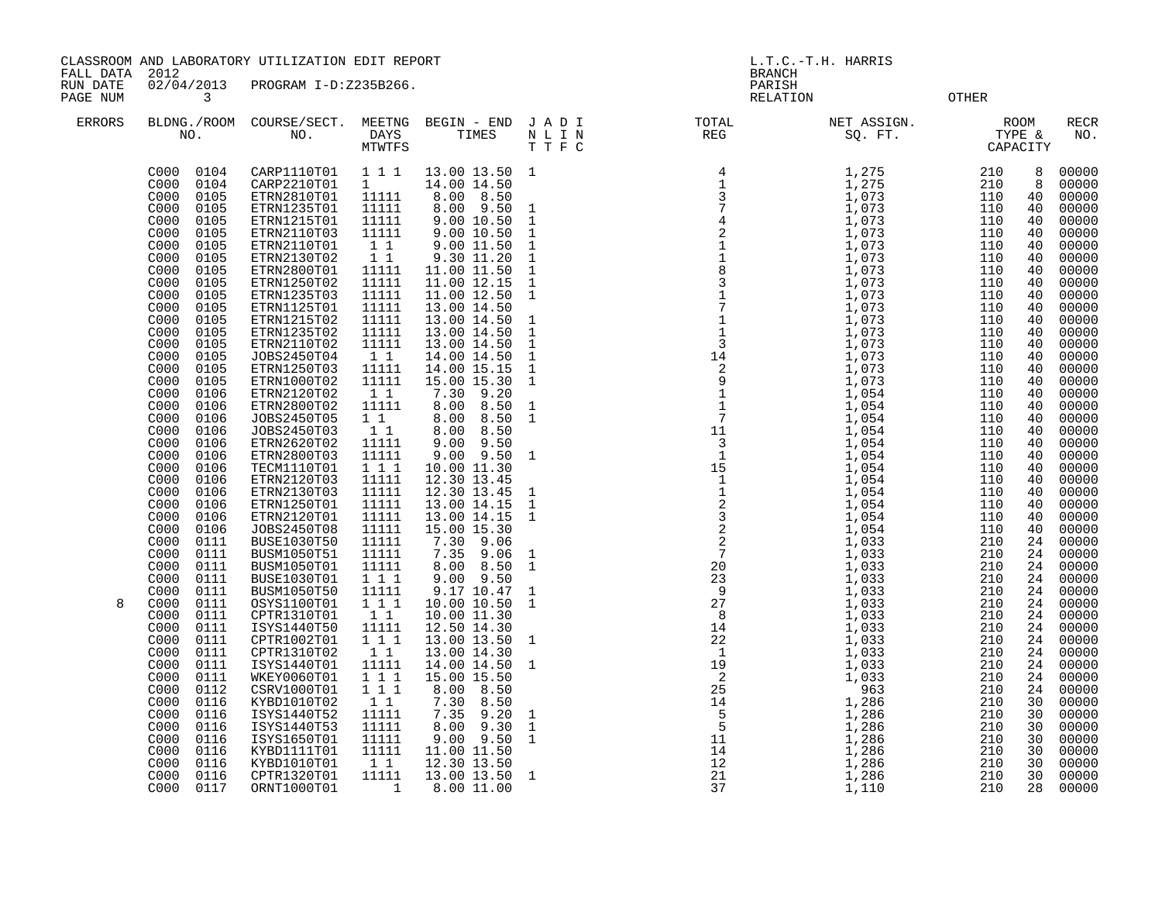CLASSROOM AND LABORATORY UTILIZATION EDIT REPORT AND REPORT THE REPORT CLASSROOM AND LABORATORY UTILIZATION EDIT REPORT

FALL DATA 2012<br>RUN DATE 02/04/2013 PROGRAM I-D:Z235B266.<br>PAGENUM 3 RUN DATE 02/04/2013 PROGRAM I-D:Z235B266. PARISH PAGE NUM 3 RELATION OTHER

| LAUL IVUN     |                                                                                                                                                                           |                                                                                                                                                                   |                                                                                                     |                                                                                                                                                             |                                                                                             | 17 THAT TOIM                                                                                                          | ◡▴ュュ:                                                        |                                                                                                 |
|---------------|---------------------------------------------------------------------------------------------------------------------------------------------------------------------------|-------------------------------------------------------------------------------------------------------------------------------------------------------------------|-----------------------------------------------------------------------------------------------------|-------------------------------------------------------------------------------------------------------------------------------------------------------------|---------------------------------------------------------------------------------------------|-----------------------------------------------------------------------------------------------------------------------|--------------------------------------------------------------|-------------------------------------------------------------------------------------------------|
| <b>ERRORS</b> |                                                                                                                                                                           |                                                                                                                                                                   |                                                                                                     |                                                                                                                                                             |                                                                                             | BLDNG./ROOM COURSE/SECT. MEETNG BEGIN – END JADI TOTAL MET ASSIGN. NO. NO. DAYS TIMES NLIN REG SQ.FT. TYPE & CAPACITY |                                                              | <b>RECR</b><br>NO.                                                                              |
|               | C000 0104<br>C000<br>0104<br>C000<br>0105<br>C000<br>0105<br>0105<br>C000<br>C000<br>0105<br>C000<br>0105<br>C000<br>0105<br>C000<br>0105<br>C000<br>0105<br>C000<br>0105 | CARP1110T01<br>CARP2210T01<br>ETRN2810T01<br>ETRN1235T01<br>ETRN1215T01<br>ETRN2110T03<br>ETRN2110T01<br>ETRN2130T02<br>ETRN2800T01<br>ETRN1250T02<br>ETRN1235T03 | 1 1 1<br>$1 \quad \Box$<br>11111<br>11111<br>11111<br>11111<br>11<br>1 1<br>11111<br>11111<br>11111 | 13.00 13.50 1<br>14.00 14.50<br>8.00 8.50<br>8.00 9.50<br>9.00 10.50<br>9.00 10.50<br>9.00 11.50<br>9.30 11.20<br>11.00 11.50<br>11.00 12.15<br>11.00 12.50 | $\mathbf{1}$<br>1<br>1<br>$\mathbf{1}$<br>$\mathbf{1}$<br>$\mathbf{1}$<br>$\mathbf{1}$<br>1 |                                                                                                                       | 8<br>8<br>40<br>40<br>40<br>40<br>40<br>40<br>40<br>40<br>40 | 00000<br>00000<br>00000<br>00000<br>00000<br>00000<br>00000<br>00000<br>00000<br>00000<br>00000 |
|               | C000<br>0105<br>C000<br>0105<br>C000<br>0105<br>C000<br>0105<br>C000<br>0105<br>0105<br>C000<br>C000<br>0105<br>C000<br>0106                                              | ETRN1125T01<br>ETRN1215T02<br>ETRN1235T02<br>ETRN2110T02<br>JOBS2450T04<br>ETRN1250T03<br>ETRN1000T02<br>ETRN2120T02                                              | 11111<br>11111<br>11111<br>11111<br>$1\quad1$<br>11111<br>11111<br>11                               | 13.00 14.50<br>13.00 14.50<br>13.00 14.50<br>13.00 14.50<br>14.00 14.50<br>14.00 15.15<br>15.00 15.30<br>9.20<br>7.30                                       | $\mathbf{1}$<br>$\mathbf{1}$<br>1<br>$\mathbf{1}$<br>$\mathbf{1}$<br>$\mathbf{1}$           |                                                                                                                       | 40<br>40<br>40<br>40<br>40<br>40<br>40<br>40                 | 00000<br>00000<br>00000<br>00000<br>00000<br>00000<br>00000<br>00000                            |
|               | C000<br>0106<br>C000<br>0106<br>C000<br>0106<br>C000<br>0106<br>C000<br>0106<br>C000<br>0106<br>C000<br>0106                                                              | ETRN2800T02<br>JOBS2450T05<br>JOBS2450T03<br>ETRN2620T02<br>ETRN2800T03<br>TECM1110T01<br>ETRN2120T03                                                             | 11111<br>$1\quad1$<br>$1\quad1$<br>11111<br>11111<br>111<br>11111                                   | 8.00<br>8.50<br>8.00<br>8.50<br>8.00<br>8.50<br>9.00<br>9.50<br>$9.00$ $9.50$<br>10.00 11.30<br>12.30 13.45                                                 | $\mathbf{1}$<br><sup>1</sup><br><sup>1</sup>                                                |                                                                                                                       | 40<br>40<br>40<br>40<br>40<br>40<br>40                       | 00000<br>00000<br>00000<br>00000<br>00000<br>00000<br>00000                                     |
|               | C000<br>0106<br>C000<br>0106<br>0106<br>C000<br>C000<br>0106<br>C000<br>0111<br>C000<br>0111<br>C000<br>0111<br>C000<br>0111                                              | ETRN2130T03<br>ETRN1250T01<br>ETRN2120T01<br>JOBS2450T08<br><b>BUSE1030T50</b><br>BUSM1050T51<br>BUSM1050T01<br>BUSE1030T01                                       | 11111<br>11111<br>11111<br>11111<br>11111<br>11111<br>11111<br>111                                  | 12.30 13.45<br>13.00 14.15<br>13.00 14.15<br>15.00 15.30<br>9.06<br>7.30<br>9.06<br>7.35<br>8.00 8.50<br>9.00 9.50                                          | $\mathbf{1}$<br>$\mathbf{1}$<br>1<br>$\mathbf{1}$<br>1                                      |                                                                                                                       | 40<br>40<br>40<br>40<br>24<br>24<br>24<br>24                 | 00000<br>00000<br>00000<br>00000<br>00000<br>00000<br>00000<br>00000                            |
| 8             | C000<br>0111<br>C000<br>0111<br>0111<br>C000<br>C000<br>0111<br>C000<br>0111<br>C000<br>0111<br>C000<br>0111<br>C000<br>0111                                              | BUSM1050T50<br>OSYS1100T01<br>CPTR1310T01<br>ISYS1440T50<br>CPTR1002T01<br>CPTR1310T02<br>ISYS1440T01<br>WKEY0060T01                                              | 11111<br>111<br>11<br>11111<br>111<br>11<br>11111<br>111                                            | 9.17 10.47<br>10.00 10.50<br>10.00 11.30<br>12.50 14.30<br>13.00 13.50 1<br>13.00 14.30<br>14.00 14.50 1<br>15.00 15.50                                     | 1<br>1                                                                                      |                                                                                                                       | 24<br>24<br>24<br>24<br>24<br>24<br>24<br>24                 | 00000<br>00000<br>00000<br>00000<br>00000<br>00000<br>00000<br>00000                            |
|               | 0112<br>C000<br>C000<br>0116<br>C000<br>0116<br>C000<br>0116<br>C000<br>0116<br>C000<br>0116<br>0116<br>C000<br>0116<br>C000<br>C000<br>0117                              | CSRV1000T01<br>KYBD1010T02<br>ISYS1440T52<br>ISYS1440T53<br>ISYS1650T01<br>KYBD1111T01<br>KYBD1010T01<br>CPTR1320T01<br>ORNT1000T01                               | 111<br>1 1<br>11111<br>11111<br>11111<br>11111<br>11<br>11111<br>1                                  | 8.00 8.50<br>7.30<br>8.50<br>$7.35$ 9.20<br>8.00 9.30<br>$9.00$ $9.50$<br>11.00 11.50<br>12.30 13.50<br>13.00 13.50 1<br>8.00 11.00                         | <sup>1</sup><br>$\mathbf{1}$<br>1                                                           | 37                                                                                                                    | 24<br>30<br>30<br>30<br>30<br>30<br>30<br>30<br>28           | 00000<br>00000<br>00000<br>00000<br>00000<br>00000<br>00000<br>00000<br>00000                   |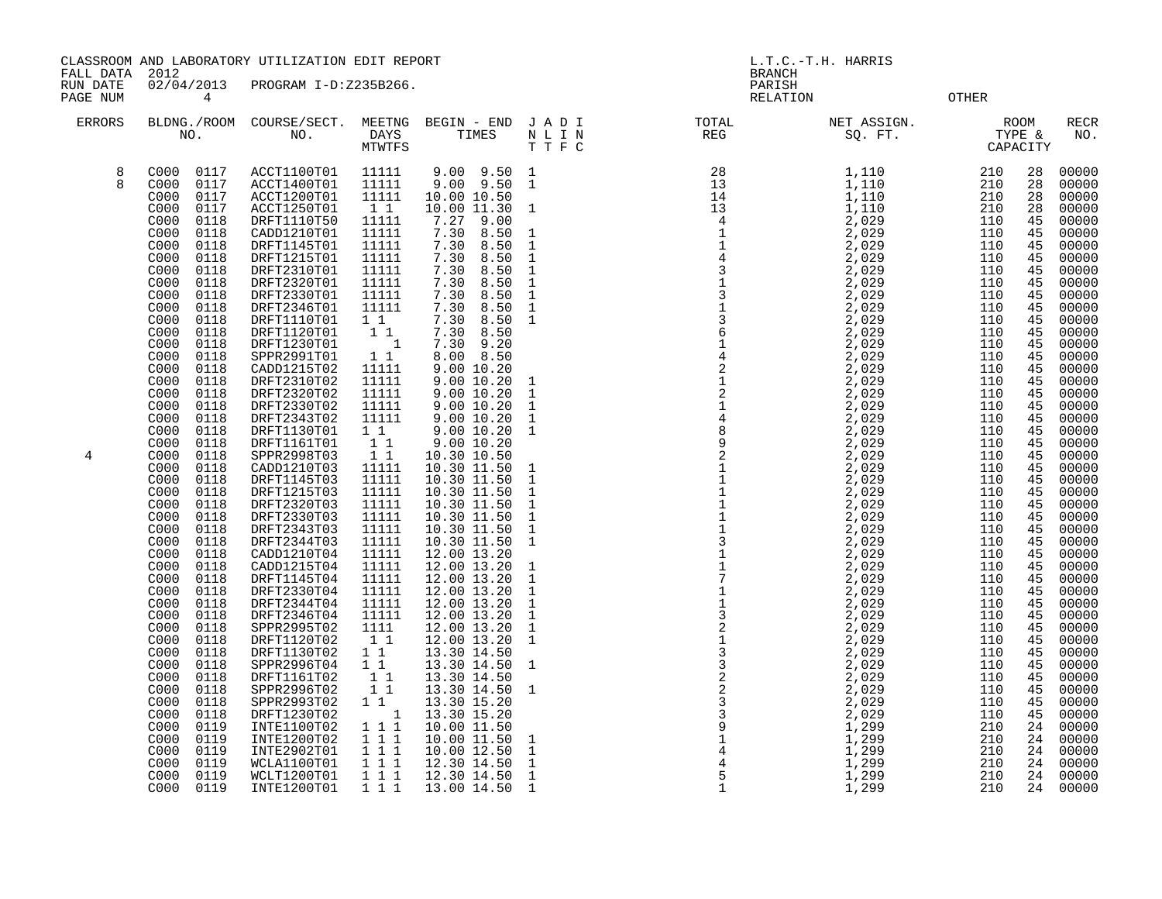| FALL DATA<br>RUN DATE<br>PAGE NUM | 2012<br>02/04/2013<br>4                                                                                                                                                                                                                                                                                                                                                      | CLASSROOM AND LABORATORY UTILIZATION EDIT REPORT<br>PROGRAM I-D:Z235B266.                                                                                                                                                                                                                                                                             |                                                                                                                                                                                                                                            |                                                                                                                                                                                                                                                                                                                                                            |                                                                                                                                                                                                        | L.T.C.-T.H. HARRIS<br><b>BRANCH</b><br>PARISH<br><b>OTHER</b><br>RELATION |                                                                                                                                                                                                             |                                                                                                                                                                                                                                                                                                                                                                                                                                                                                                                        |  |  |  |
|-----------------------------------|------------------------------------------------------------------------------------------------------------------------------------------------------------------------------------------------------------------------------------------------------------------------------------------------------------------------------------------------------------------------------|-------------------------------------------------------------------------------------------------------------------------------------------------------------------------------------------------------------------------------------------------------------------------------------------------------------------------------------------------------|--------------------------------------------------------------------------------------------------------------------------------------------------------------------------------------------------------------------------------------------|------------------------------------------------------------------------------------------------------------------------------------------------------------------------------------------------------------------------------------------------------------------------------------------------------------------------------------------------------------|--------------------------------------------------------------------------------------------------------------------------------------------------------------------------------------------------------|---------------------------------------------------------------------------|-------------------------------------------------------------------------------------------------------------------------------------------------------------------------------------------------------------|------------------------------------------------------------------------------------------------------------------------------------------------------------------------------------------------------------------------------------------------------------------------------------------------------------------------------------------------------------------------------------------------------------------------------------------------------------------------------------------------------------------------|--|--|--|
| <b>ERRORS</b>                     | BLDNG./ROOM<br>NO.                                                                                                                                                                                                                                                                                                                                                           | COURSE/SECT.<br>NO.                                                                                                                                                                                                                                                                                                                                   | MEETNG<br>DAYS<br>MTWTFS                                                                                                                                                                                                                   | BEGIN - END<br>TIMES                                                                                                                                                                                                                                                                                                                                       | JADI<br>NLIN<br>TTFC                                                                                                                                                                                   | TOTAL<br>REG                                                              | NET ASSIGN.<br>SQ. FT.                                                                                                                                                                                      | <b>RECR</b><br><b>ROOM</b><br>TYPE &<br>NO.<br>CAPACITY                                                                                                                                                                                                                                                                                                                                                                                                                                                                |  |  |  |
| 8<br>8                            | C000<br>0117<br>C000<br>0117<br>0117<br>C000<br>0117<br>C000<br>0118<br>C000<br>C000<br>0118<br>0118<br>C000<br>0118<br>C000<br>C000<br>0118<br>C000<br>0118<br>C000<br>0118<br>C000<br>0118<br>C000<br>0118<br>C000<br>0118<br>C000<br>0118<br>C000<br>0118<br>0118<br>C000<br>C000<br>0118<br>C000<br>0118<br>0118<br>C000<br>C000<br>0118<br>C000<br>0118<br>C000<br>0118 | ACCT1100T01<br>ACCT1400T01<br>ACCT1200T01<br>ACCT1250T01<br>DRFT1110T50<br>CADD1210T01<br>DRFT1145T01<br>DRFT1215T01<br>DRFT2310T01<br>DRFT2320T01<br>DRFT2330T01<br>DRFT2346T01<br>DRFT1110T01<br>DRFT1120T01<br>DRFT1230T01<br>SPPR2991T01<br>CADD1215T02<br>DRFT2310T02<br>DRFT2320T02<br>DRFT2330T02<br>DRFT2343T02<br>DRFT1130T01<br>DRFT1161T01 | 11111<br>11111<br>11111<br>$1\quad1$<br>11111<br>11111<br>11111<br>11111<br>11111<br>11111<br>11111<br>11111<br>$1\quad1$<br>$1\quad1$<br>$\mathbf{1}$<br>$1\quad1$<br>11111<br>11111<br>11111<br>11111<br>11111<br>$1\quad1$<br>$1\quad1$ | $9.00$ $9.50$<br>9.00<br>9.50<br>10.00 10.50<br>10.00 11.30<br>7.27 9.00<br>7.30<br>8.50<br>8.50<br>7.30<br>8.50<br>7.30<br>8.50<br>7.30<br>7.30<br>8.50<br>7.30<br>8.50<br>7.30<br>8.50<br>7.30<br>8.50<br>7.30<br>8.50<br>7.30<br>9.20<br>8.00<br>8.50<br>9.00 10.20<br>9.00 10.20<br>9.00 10.20<br>9.00 10.20<br>9.00 10.20<br>9.00 10.20<br>9.00 10.20 | <sup>1</sup><br>-1<br>$\mathbf{1}$<br>$\mathbf{1}$<br>$\mathbf{1}$<br>$\mathbf{1}$<br>$\mathbf{1}$<br>$\mathbf{1}$<br>$\mathbf{1}$<br>$\mathbf{1}$<br>$\mathbf{1}$<br>$\mathbf{1}$<br>1<br>1<br>1<br>1 | 28<br>13<br>14<br>13<br>$\overline{4}$                                    | 1,110<br>1,110<br>1,110<br>1,110<br>2,029<br>2,029<br>2,029<br>2,029<br>2,029<br>2,029<br>2,029<br>2,029<br>2,029<br>2,029<br>2,029<br>2,029<br>2,029<br>2,029<br>2,029<br>2,029<br>2,029<br>2,029<br>2,029 | 00000<br>210<br>28<br>28<br>00000<br>210<br>28<br>00000<br>210<br>28<br>210<br>00000<br>45<br>00000<br>110<br>110<br>45<br>00000<br>110<br>45<br>00000<br>110<br>45<br>00000<br>45<br>00000<br>110<br>45<br>110<br>00000<br>45<br>00000<br>110<br>45<br>00000<br>110<br>45<br>00000<br>110<br>110<br>45<br>00000<br>110<br>45<br>00000<br>45<br>110<br>00000<br>110<br>45<br>00000<br>110<br>45<br>00000<br>00000<br>110<br>45<br>00000<br>110<br>45<br>110<br>00000<br>45<br>00000<br>110<br>45<br>00000<br>110<br>45 |  |  |  |
| 4                                 | 0118<br>C000<br>0118<br>C000<br>0118<br>C000<br>C000<br>0118<br>0118<br>C000                                                                                                                                                                                                                                                                                                 | SPPR2998T03<br>CADD1210T03<br>DRFT1145T03<br>DRFT1215T03<br>DRFT2320T03                                                                                                                                                                                                                                                                               | $1\quad1$<br>11111<br>11111<br>11111<br>11111                                                                                                                                                                                              | 10.30 10.50<br>10.30 11.50<br>10.30 11.50<br>10.30 11.50<br>10.30 11.50                                                                                                                                                                                                                                                                                    | -1<br>1<br>1<br>1                                                                                                                                                                                      | $\begin{array}{c} 9 \\ 2 \\ 1 \\ 1 \end{array}$                           | 2,029<br>2,029<br>2,029<br>2,029<br>2,029                                                                                                                                                                   | 110<br>00000<br>45<br>45<br>00000<br>110<br>00000<br>110<br>45<br>45<br>00000<br>110<br>45<br>00000<br>110                                                                                                                                                                                                                                                                                                                                                                                                             |  |  |  |

| C000 | 0117 | ACCT1100T01 | 11111     | $9.00$ $9.50$ 1 |              | 28 | 1,110 | 210 | 28 | 00000 |
|------|------|-------------|-----------|-----------------|--------------|----|-------|-----|----|-------|
| C000 | 0117 | ACCT1400T01 | 11111     | $9.00$ $9.50$   | 1            |    | 1,110 | 210 | 28 | 00000 |
| C000 | 0117 | ACCT1200T01 | 11111     | 10.00 10.50     |              |    | 1,110 | 210 | 28 | 00000 |
| C000 | 0117 | ACCT1250T01 | 1 1       | 10.00 11.30     | 1            |    | 1,110 | 210 | 28 | 00000 |
| C000 | 0118 | DRFT1110T50 | 11111     | 7.27<br>9.00    |              |    | 2,029 | 110 | 45 | 00000 |
| C000 | 0118 | CADD1210T01 | 11111     | 7.30<br>8.50    | 1            |    | 2,029 | 110 | 45 | 00000 |
| C000 | 0118 | DRFT1145T01 | 11111     | 7.30<br>8.50    | $\mathbf{1}$ |    | 2,029 | 110 | 45 | 00000 |
| C000 | 0118 | DRFT1215T01 | 11111     | 7.30<br>8.50    | 1            |    | 2,029 | 110 | 45 | 00000 |
| C000 | 0118 | DRFT2310T01 | 11111     | 7.30<br>8.50    | $\mathbf{1}$ |    | 2,029 | 110 | 45 | 00000 |
| C000 | 0118 | DRFT2320T01 | 11111     | 7.30<br>8.50    | $\mathbf{1}$ |    | 2,029 | 110 | 45 | 00000 |
| C000 | 0118 | DRFT2330T01 | 11111     | 7.30<br>8.50    | $\mathbf{1}$ |    | 2,029 | 110 | 45 | 00000 |
| C000 | 0118 | DRFT2346T01 | 11111     | 7.30<br>8.50    | $\mathbf{1}$ |    | 2,029 | 110 | 45 | 00000 |
| C000 | 0118 | DRFT1110T01 | $1\quad1$ | 7.30<br>8.50    | $\mathbf{1}$ |    | 2,029 | 110 | 45 | 00000 |
| C000 | 0118 | DRFT1120T01 | 1 1       | 7.30<br>8.50    |              |    | 2,029 | 110 | 45 | 00000 |
| C000 | 0118 | DRFT1230T01 | $\sim$ 1  | 7.30<br>9.20    |              |    | 2,029 | 110 | 45 | 00000 |
| C000 | 0118 | SPPR2991T01 | $1\quad1$ | 8.00 8.50       |              |    | 2,029 | 110 | 45 | 00000 |
| C000 | 0118 | CADD1215T02 | 11111     | 9.00 10.20      |              |    | 2,029 | 110 | 45 | 00000 |
| C000 | 0118 | DRFT2310T02 | 11111     | 9.00 10.20      | 1            |    | 2,029 | 110 | 45 | 00000 |
| C000 | 0118 | DRFT2320T02 | 11111     | 9.00 10.20      | $\mathbf{1}$ |    | 2,029 | 110 | 45 | 00000 |
| C000 | 0118 | DRFT2330T02 | 11111     | 9.00 10.20      | $\mathbf{1}$ |    | 2,029 | 110 | 45 | 00000 |
| C000 | 0118 | DRFT2343T02 | 11111     | 9.0010.20       | $\mathbf{1}$ |    | 2,029 | 110 | 45 | 00000 |
| C000 | 0118 | DRFT1130T01 | $1\quad1$ | 9.0010.20       | 1            |    | 2,029 | 110 | 45 | 00000 |
| C000 | 0118 | DRFT1161T01 | 1 1       | 9.00 10.20      |              |    | 2,029 | 110 | 45 | 00000 |
| C000 | 0118 | SPPR2998T03 | 11        | 10.30 10.50     |              |    | 2,029 | 110 | 45 | 00000 |
| C000 | 0118 | CADD1210T03 | 11111     | 10.30 11.50     | 1            |    | 2,029 | 110 | 45 | 00000 |
| C000 | 0118 | DRFT1145T03 | 11111     | 10.30 11.50     | 1            |    | 2,029 | 110 | 45 | 00000 |
| C000 | 0118 | DRFT1215T03 | 11111     | 10.30 11.50     | 1            |    | 2,029 | 110 | 45 | 00000 |
| C000 | 0118 | DRFT2320T03 | 11111     | 10.30 11.50     | 1            |    | 2,029 | 110 | 45 | 00000 |
| C000 | 0118 | DRFT2330T03 | 11111     | 10.30 11.50     | $\mathbf{1}$ |    | 2,029 | 110 | 45 | 00000 |
| C000 | 0118 | DRFT2343T03 | 11111     | 10.30 11.50     | $\mathbf{1}$ |    | 2,029 | 110 | 45 | 00000 |
| C000 | 0118 | DRFT2344T03 | 11111     | 10.30 11.50     | $\mathbf{1}$ |    | 2,029 | 110 | 45 | 00000 |
| C000 | 0118 | CADD1210T04 | 11111     | 12.00 13.20     |              |    | 2,029 | 110 | 45 | 00000 |
| C000 | 0118 | CADD1215T04 | 11111     | 12.00 13.20     | 1            |    | 2,029 | 110 | 45 | 00000 |
| C000 | 0118 | DRFT1145T04 | 11111     | 12.00 13.20     | 1            |    | 2,029 | 110 | 45 | 00000 |
| C000 | 0118 | DRFT2330T04 | 11111     | 12.00 13.20     | 1            |    | 2,029 | 110 | 45 | 00000 |
| C000 | 0118 | DRFT2344T04 | 11111     | 12.00 13.20     | $\mathbf{1}$ |    | 2,029 | 110 | 45 | 00000 |
| C000 | 0118 | DRFT2346T04 | 11111     | 12.00 13.20     | 1            |    | 2,029 | 110 | 45 | 00000 |
| C000 | 0118 | SPPR2995T02 | 1111      | 12.00 13.20     | 1            |    | 2,029 | 110 | 45 | 00000 |
| C000 | 0118 | DRFT1120T02 | 11        | 12.00 13.20     | 1            |    | 2,029 | 110 | 45 | 00000 |
| C000 | 0118 | DRFT1130T02 | $1\quad1$ | 13.30 14.50     |              |    | 2,029 | 110 | 45 | 00000 |
| C000 | 0118 | SPPR2996T04 | $1\quad1$ | 13.30 14.50     | -1           |    | 2,029 | 110 | 45 | 00000 |
| C000 | 0118 | DRFT1161T02 | 11        | 13.30 14.50     |              |    | 2,029 | 110 | 45 | 00000 |
| C000 | 0118 | SPPR2996T02 | 1 1       | 13.30 14.50 1   |              |    | 2,029 | 110 | 45 | 00000 |
| C000 | 0118 | SPPR2993T02 | $1\quad1$ | 13.30 15.20     |              |    | 2,029 | 110 | 45 | 00000 |
| C000 | 0118 | DRFT1230T02 | 1         | 13.30 15.20     |              |    | 2,029 | 110 | 45 | 00000 |
| C000 | 0119 | INTE1100T02 | 111       | 10.00 11.50     |              |    | 1,299 | 210 | 24 | 00000 |
| C000 | 0119 | INTE1200T02 | 1 1 1     | 10.00 11.50     | 1            |    | 1,299 | 210 | 24 | 00000 |
| C000 | 0119 | INTE2902T01 | 1 1 1     | 10.00 12.50     | 1            |    | 1,299 | 210 | 24 | 00000 |
| C000 | 0119 | WCLA1100T01 | 1 1 1     | 12.30 14.50     | $\mathbf{1}$ |    | 1,299 | 210 | 24 | 00000 |
| C000 | 0119 | WCLT1200T01 | 1 1 1     | 12.30 14.50     | 1            |    | 1,299 | 210 | 24 | 00000 |
| C000 | 0119 | INTE1200T01 | 1 1 1     | 13.00 14.50     | -1           |    | 1,299 | 210 | 24 | 00000 |
|      |      |             |           |                 |              |    |       |     |    |       |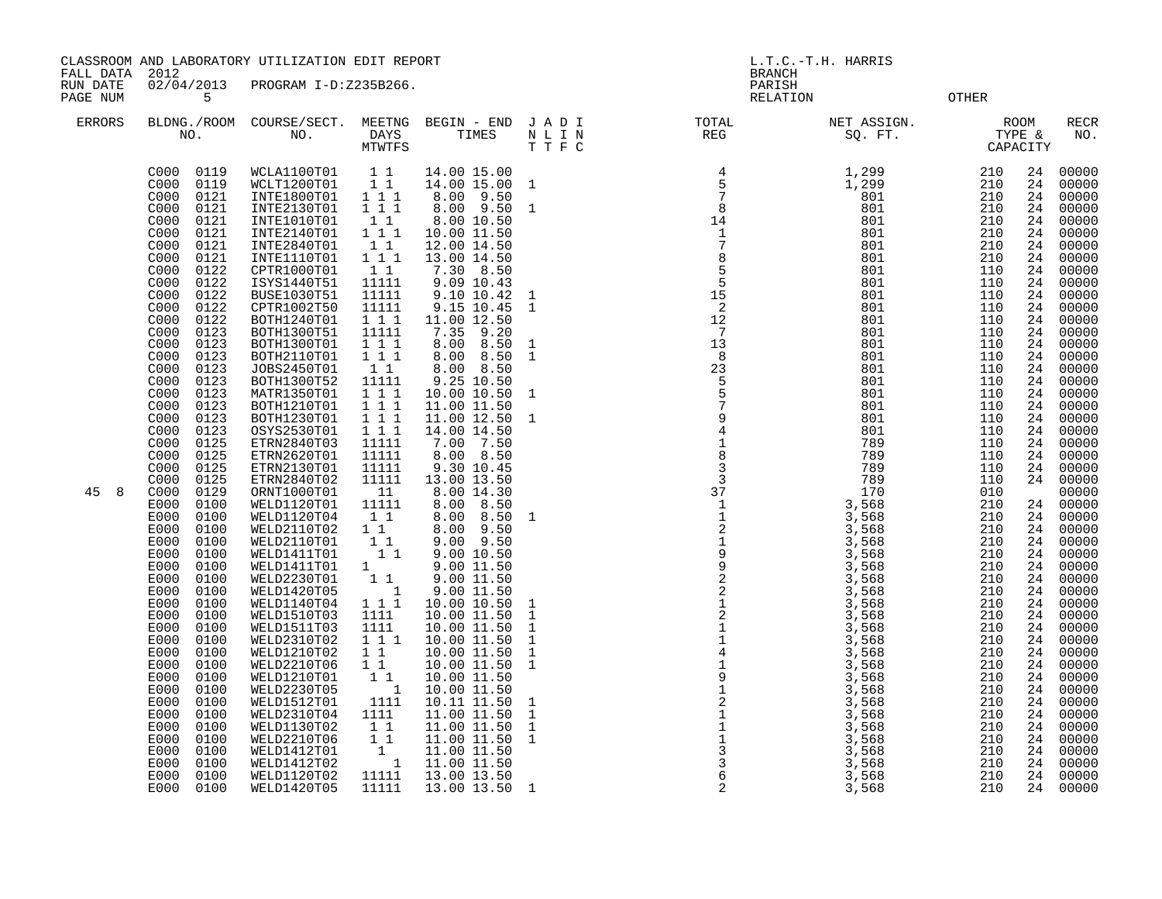FALL DATA 2012 BRANCH

RUN DATE 02/04/2013 PROGRAM I-D:Z235B266.<br>PAGENUM 5

OTHER

| <b>ERRORS</b> | NO.                                                                                                                                                                                                                                                                                                                                                                                                                                                                                                                                                                                                                                                                                                                                                                                                                                                      | BLDNG./ROOM COURSE/SECT.<br>NO.                                                                                                                                                                                                                                                                                                                                                                                                                                                                                                                                                                                                                                                                                                                                                                  | MEETNG<br>DAYS<br>MTWTFS                                                                                                                                                                                                                                                                                                                                                                                                                                                                                                                 | BEGIN - END<br>TIMES                                                                                                                                                                                                                                                                                                                                                                                                                                                                                                                                                                                                                                                                                                                                               | JADI<br>N L I N<br>T T F C                                                                                                                                                                                                | TOTAL<br>REG                                                                                                                                                                  | NET ASSIGN.<br>T ASSIGN.<br>SQ. FT.<br>CAPACITY                                                                                                                                                                                                                                                                                                                                                                       |                                                                                                                                                                                                                                                                                                                                                                   |                                                                                                                                                                                                                                                                                                          | <b>RECR</b><br>NO.                                                                                                                                                                                                                                                                                                                                                                                                                                                      |
|---------------|----------------------------------------------------------------------------------------------------------------------------------------------------------------------------------------------------------------------------------------------------------------------------------------------------------------------------------------------------------------------------------------------------------------------------------------------------------------------------------------------------------------------------------------------------------------------------------------------------------------------------------------------------------------------------------------------------------------------------------------------------------------------------------------------------------------------------------------------------------|--------------------------------------------------------------------------------------------------------------------------------------------------------------------------------------------------------------------------------------------------------------------------------------------------------------------------------------------------------------------------------------------------------------------------------------------------------------------------------------------------------------------------------------------------------------------------------------------------------------------------------------------------------------------------------------------------------------------------------------------------------------------------------------------------|------------------------------------------------------------------------------------------------------------------------------------------------------------------------------------------------------------------------------------------------------------------------------------------------------------------------------------------------------------------------------------------------------------------------------------------------------------------------------------------------------------------------------------------|--------------------------------------------------------------------------------------------------------------------------------------------------------------------------------------------------------------------------------------------------------------------------------------------------------------------------------------------------------------------------------------------------------------------------------------------------------------------------------------------------------------------------------------------------------------------------------------------------------------------------------------------------------------------------------------------------------------------------------------------------------------------|---------------------------------------------------------------------------------------------------------------------------------------------------------------------------------------------------------------------------|-------------------------------------------------------------------------------------------------------------------------------------------------------------------------------|-----------------------------------------------------------------------------------------------------------------------------------------------------------------------------------------------------------------------------------------------------------------------------------------------------------------------------------------------------------------------------------------------------------------------|-------------------------------------------------------------------------------------------------------------------------------------------------------------------------------------------------------------------------------------------------------------------------------------------------------------------------------------------------------------------|----------------------------------------------------------------------------------------------------------------------------------------------------------------------------------------------------------------------------------------------------------------------------------------------------------|-------------------------------------------------------------------------------------------------------------------------------------------------------------------------------------------------------------------------------------------------------------------------------------------------------------------------------------------------------------------------------------------------------------------------------------------------------------------------|
| 45<br>8       | 0119<br>C000<br>0119<br>C000<br>C000<br>0121<br>0121<br>C000<br>C000<br>0121<br>C000<br>0121<br>C000<br>0121<br>C <sub>000</sub><br>0121<br>C000<br>0122<br>C000<br>0122<br>C000<br>0122<br>C000<br>0122<br>0122<br>C000<br>C000<br>0123<br>C000<br>0123<br>C000<br>0123<br>C000<br>0123<br>C000<br>0123<br>C000<br>0123<br>C000<br>0123<br>C000<br>0123<br>C000<br>0123<br>C000<br>0125<br>C000<br>0125<br>C000<br>0125<br>0125<br>C000<br>C000<br>0129<br>E000<br>0100<br>E000<br>0100<br>E000<br>0100<br>E000<br>0100<br>E000<br>0100<br>E000<br>0100<br>E000<br>0100<br>E000<br>0100<br>E000<br>0100<br>E000<br>0100<br>E000<br>0100<br>E000<br>0100<br>E000<br>0100<br>E000<br>0100<br>E000<br>0100<br>E000<br>0100<br>E000<br>0100<br>E000<br>0100<br>E000<br>0100<br>E000<br>0100<br>E000<br>0100<br>E000<br>0100<br>0100<br>E000<br>E000<br>0100 | WCLA1100T01<br>WCLT1200T01<br>INTE1800T01<br>INTE2130T01<br>INTE1010T01<br>INTE2140T01<br>INTE2840T01<br>INTE1110T01<br>CPTR1000T01<br>ISYS1440T51<br><b>BUSE1030T51</b><br>CPTR1002T50<br>BOTH1240T01<br>BOTH1300T51<br>BOTH1300T01<br>BOTH2110T01<br>JOBS2450T01<br>BOTH1300T52<br>MATR1350T01<br>BOTH1210T01<br>BOTH1230T01<br>OSYS2530T01<br>ETRN2840T03<br>ETRN2620T01<br>ETRN2130T01<br>ETRN2840T02<br>ORNT1000T01<br>WELD1120T01<br>WELD1120T04<br>WELD2110T02<br>WELD2110T01<br>WELD1411T01<br>WELD1411T01<br>WELD2230T01<br>WELD1420T05<br>WELD1140T04<br>WELD1510T03<br>WELD1511T03<br>WELD2310T02<br>WELD1210T02<br>WELD2210T06<br>WELD1210T01<br>WELD2230T05<br>WELD1512T01<br>WELD2310T04<br>WELD1130T02<br>WELD2210T06<br>WELD1412T01<br>WELD1412T02<br>WELD1120T02<br>WELD1420T05 | 11<br>11<br>1 1 1<br>111<br>$1\quad1$<br>$1 1 1$<br>11<br>111<br>$1\quad1$<br>11111<br>11111<br>11111<br>1 1 1<br>11111<br>1 1 1<br>111<br>11<br>11111<br>111<br>111<br>111<br>111<br>11111<br>11111<br>11111<br>11111<br>11<br>11111<br>11<br>11<br>$1\quad1$<br>11<br>$1 \quad \blacksquare$<br>11<br>$\overline{\phantom{a}}$<br>$1 1 1$<br>1111<br>1111<br>111<br>$1\quad1$<br>$1\quad1$<br>11<br>$\overline{\phantom{a}}$<br>1111<br>1111<br>$1\quad1$<br>$1\quad1$<br>$\overline{1}$<br>$\overline{\phantom{a}}$<br>11111<br>11111 | 14.00 15.00<br>14.00 15.00 1<br>8.00 9.50<br>8.00 9.50<br>8.00 10.50<br>10.00 11.50<br>12.00 14.50<br>13.00 14.50<br>7.30 8.50<br>9.09 10.43<br>9.10 10.42<br>9.15 10.45<br>11.00 12.50<br>7.35 9.20<br>8.00<br>8.50<br>8.00<br>8.50<br>8.00 8.50<br>9.25 10.50<br>10.00 10.50<br>11.00 11.50<br>11.00 12.50<br>14.00 14.50<br>7.00 7.50<br>8.00 8.50<br>9.30 10.45<br>13.00 13.50<br>8.00 14.30<br>8.00 8.50<br>8.00 8.50<br>8.00 9.50<br>$9.00$ $9.50$<br>9.00 10.50<br>9.00 11.50<br>9.00 11.50<br>9.00 11.50<br>10.00 10.50<br>10.00 11.50<br>10.00 11.50<br>10.00 11.50<br>10.00 11.50<br>10.00 11.50<br>10.00 11.50<br>10.00 11.50<br>10.11 11.50<br>11.00 11.50<br>11.00 11.50<br>11.00 11.50<br>11.00 11.50<br>11.00 11.50<br>13.00 13.50<br>13.00 13.50 1 | $\mathbf{1}$<br>$\mathbf{1}$<br>1<br>$\mathbf{1}$<br>$\mathbf{1}$<br>$\mathbf{1}$<br>$\mathbf{1}$<br>1<br>$\mathbf 1$<br>1<br>$\mathbf{1}$<br>1<br>1<br>$\mathbf{1}$<br>1<br>$\mathbf{1}$<br>$\mathbf{1}$<br>$\mathbf{1}$ | $\begin{array}{cccc}\n & 4 \\  & 5 \\  & 7 \\  & 8 \\  & 14 \\  & 1 \\  & 7 \\  & 8 \\  & 5 \\  & 5 \\  & 5 \\  & 15 \\  & 2 \\  & 12 \\  & 7\n\end{array}$<br>$\overline{7}$ | 1,299<br>1,299<br>801<br>801<br>801<br>801<br>801<br>801<br>801<br>801<br>801<br>801<br>801<br>801<br>801<br>801<br>801<br>801<br>801<br>801<br>801<br>801<br>789<br>789<br>789<br>789<br>170<br>3,568<br>3,568<br>3,568<br>3,568<br>3,568<br>3,568<br>3,568<br>3,568<br>3,568<br>3,568<br>3,568<br>3,568<br>3,568<br>3,568<br>3,568<br>3,568<br>3,568<br>3,568<br>3,568<br>3,568<br>3,568<br>3,568<br>3,568<br>3,568 | 210<br>210<br>210<br>210<br>210<br>210<br>210<br>210<br>110<br>110<br>110<br>110<br>110<br>110<br>110<br>110<br>110<br>110<br>110<br>110<br>110<br>110<br>110<br>110<br>110<br>110<br>010<br>210<br>210<br>210<br>210<br>210<br>210<br>210<br>210<br>210<br>210<br>210<br>210<br>210<br>210<br>210<br>210<br>210<br>210<br>210<br>210<br>210<br>210<br>210<br>210 | 24<br>24<br>24<br>24<br>24<br>24<br>24<br>24<br>24<br>24<br>24<br>24<br>24<br>24<br>24<br>24<br>24<br>24<br>24<br>24<br>24<br>24<br>24<br>24<br>24<br>24<br>24<br>24<br>24<br>24<br>24<br>24<br>24<br>24<br>24<br>24<br>24<br>24<br>24<br>24<br>24<br>24<br>24<br>24<br>24<br>24<br>24<br>24<br>24<br>24 | 00000<br>00000<br>00000<br>00000<br>00000<br>00000<br>00000<br>00000<br>00000<br>00000<br>00000<br>00000<br>00000<br>00000<br>00000<br>00000<br>00000<br>00000<br>00000<br>00000<br>00000<br>00000<br>00000<br>00000<br>00000<br>00000<br>00000<br>00000<br>00000<br>00000<br>00000<br>00000<br>00000<br>00000<br>00000<br>00000<br>00000<br>00000<br>00000<br>00000<br>00000<br>00000<br>00000<br>00000<br>00000<br>00000<br>00000<br>00000<br>00000<br>00000<br>00000 |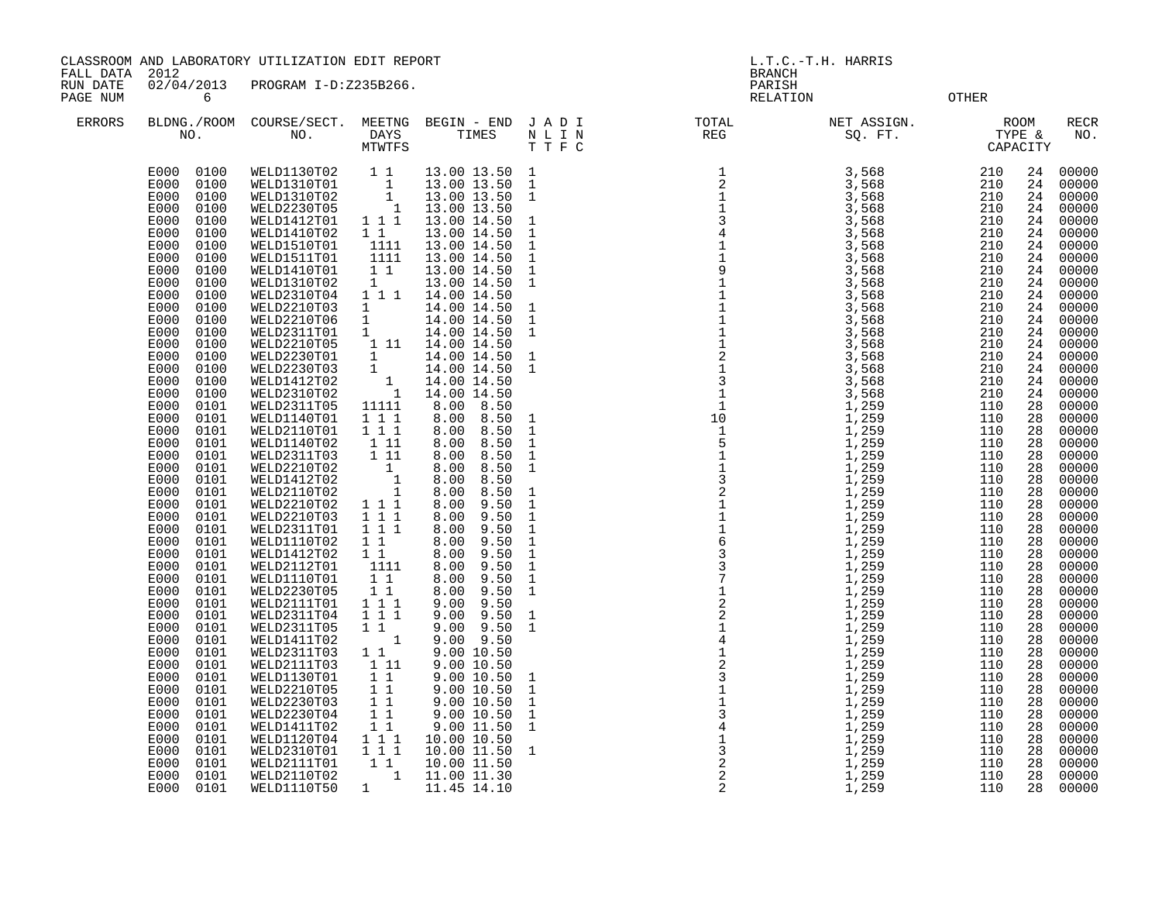FALL DATA 2012 BRANCH

RUN DATE 02/04/2013 PROGRAM I-D:Z235B266.<br>PAGENUM 6 RELATIO ergies of the contract of the contract of the contract of the contract of the contract of the contract of the contract of the contract of the contract of the contract of the contract of the contract of the contract of the

| <b>ERRORS</b> | BLDNG./ROOM<br>NO.                                                                                                                                                                                                                                                                                                                                                                                                                                                                                                                                                                                                                                                                                                                                           | COURSE/SECT.<br>NO.                                                                                                                                                                                                                                                                                                                                                                                                                                                                                                                                                                                                                                                                                            | MEETNG<br>DAYS<br><b>MTWTFS</b>                                                                                                                                                                                                                                                                                                                                                                                                                                                                                                                                                                                                                                                                    | BEGIN - END JADI<br>TIMES                                                                                                                                                                                                                                                                                                                                                                                                                                                                                                                                                                                                                                                                                                 | $\begin{array}{cccccc} \mathtt{N} & \mathtt{L} & \mathtt{I} & \mathtt{N} \\ \mathtt{T} & \mathtt{T} & \mathtt{F} & \mathtt{C} \end{array}$                                                                                                                                                                                                                                                                                                                                                                                                           | TOTAL<br>$\mathbb{REG}$                                                                                                                                                                                                                                                                                                                                                                                                                                     | NET ASSIGN.<br>SQ. FT. TYPE & CAPACITY                                                                                                                                                                                                                                                                                                                                                                                                                                        | <b>ROOM</b>                                                                                                                                                                                                                                                                                                                    |                                                                                                                                                                                                                                                                                  | RECR<br>NO.                                                                                                                                                                                                                                                                                                                                                                                                                |
|---------------|--------------------------------------------------------------------------------------------------------------------------------------------------------------------------------------------------------------------------------------------------------------------------------------------------------------------------------------------------------------------------------------------------------------------------------------------------------------------------------------------------------------------------------------------------------------------------------------------------------------------------------------------------------------------------------------------------------------------------------------------------------------|----------------------------------------------------------------------------------------------------------------------------------------------------------------------------------------------------------------------------------------------------------------------------------------------------------------------------------------------------------------------------------------------------------------------------------------------------------------------------------------------------------------------------------------------------------------------------------------------------------------------------------------------------------------------------------------------------------------|----------------------------------------------------------------------------------------------------------------------------------------------------------------------------------------------------------------------------------------------------------------------------------------------------------------------------------------------------------------------------------------------------------------------------------------------------------------------------------------------------------------------------------------------------------------------------------------------------------------------------------------------------------------------------------------------------|---------------------------------------------------------------------------------------------------------------------------------------------------------------------------------------------------------------------------------------------------------------------------------------------------------------------------------------------------------------------------------------------------------------------------------------------------------------------------------------------------------------------------------------------------------------------------------------------------------------------------------------------------------------------------------------------------------------------------|------------------------------------------------------------------------------------------------------------------------------------------------------------------------------------------------------------------------------------------------------------------------------------------------------------------------------------------------------------------------------------------------------------------------------------------------------------------------------------------------------------------------------------------------------|-------------------------------------------------------------------------------------------------------------------------------------------------------------------------------------------------------------------------------------------------------------------------------------------------------------------------------------------------------------------------------------------------------------------------------------------------------------|-------------------------------------------------------------------------------------------------------------------------------------------------------------------------------------------------------------------------------------------------------------------------------------------------------------------------------------------------------------------------------------------------------------------------------------------------------------------------------|--------------------------------------------------------------------------------------------------------------------------------------------------------------------------------------------------------------------------------------------------------------------------------------------------------------------------------|----------------------------------------------------------------------------------------------------------------------------------------------------------------------------------------------------------------------------------------------------------------------------------|----------------------------------------------------------------------------------------------------------------------------------------------------------------------------------------------------------------------------------------------------------------------------------------------------------------------------------------------------------------------------------------------------------------------------|
|               | E000<br>0100<br>E000<br>0100<br>E000<br>0100<br>E000<br>0100<br>E000<br>0100<br>E000<br>0100<br>E000<br>0100<br>E000<br>0100<br>E000<br>0100<br>E000<br>0100<br>E000<br>0100<br>E000<br>0100<br>E000<br>0100<br>E000<br>0100<br>E000<br>0100<br>E000<br>0100<br>E000<br>0100<br>E000<br>0100<br>E000<br>0100<br>E000<br>0101<br>E000<br>0101<br>E000<br>0101<br>E000<br>0101<br>E000<br>0101<br>E000<br>0101<br>E000<br>0101<br>E000<br>0101<br>0101<br>E000<br>E000<br>0101<br>E000<br>0101<br>E000<br>0101<br>E000<br>0101<br>E000<br>0101<br>E000<br>0101<br>E000<br>0101<br>E000<br>0101<br>E000<br>0101<br>E000<br>0101<br>E000<br>0101<br>E000<br>0101<br>E000<br>0101<br>E000<br>0101<br>E000<br>0101<br>E000<br>0101<br>E000<br>0101<br>E000<br>0101 | WELD1130T02<br>WELD1310T01<br>WELD1310T02<br>WELD2230T05<br>WELD1412T01<br>WELD1410T02<br>WELD1510T01<br>WELD1511T01<br>WELD1410T01<br>WELD1310T02<br>WELD2310T04<br>WELD2210T03<br>WELD2210T06<br>WELD2311T01<br>WELD2210T05<br>WELD2230T01<br>WELD2230T03<br>WELD1412T02<br>WELD2310T02<br>WELD2311T05<br>WELD1140T01<br>WELD2110T01<br>WELD1140T02<br>WELD2311T03<br>WELD2210T02<br>WELD1412T02<br>WELD2110T02<br>WELD2210T02<br>WELD2210T03<br>WELD2311T01<br>WELD1110T02<br>WELD1412T02<br>WELD2112T01<br>WELD1110T01<br>WELD2230T05<br>WELD2111T01<br>WELD2311T04<br>WELD2311T05<br>WELD1411T02<br>WELD2311T03<br>WELD2111T03<br>WELD1130T01<br>WELD2210T05<br>WELD2230T03<br>WELD2230T04<br>WELD1411T02 | $\begin{array}{cc} & 1 & 1 \\ & & 1 \\ & & 1 \end{array}$<br>$1\,$<br>$\overline{\phantom{a}}$<br>111<br>11<br>1111<br>1111<br>$1\quad1$<br>1<br>$1\ 1\ 1$<br>$\mathbf{1}$<br>1<br>$\mathbf{1}$<br>1 11<br>$\begin{matrix} 1\\1 \end{matrix}$<br>$\begin{array}{c} \begin{array}{c} 1 \\ 1 \end{array} \end{array}$<br>11111<br>1 1 1<br>$1 \quad 1 \quad 1$<br>1 11<br>$\overline{1}$ $\overline{1}\overline{1}$<br>$\overline{1}$<br>$\frac{1}{1}$<br>$\mathbf{1}$<br>1 1 1<br>$1 \quad 1 \quad 1$<br>111<br>$1\quad1$<br>$1\quad1$<br>1111<br>11<br>$1\quad1$<br>$1 \ 1 \ 1$<br>$1 1 1$<br>$1\quad1$<br>$1\,$<br>11<br>1 11<br>11<br>$\begin{smallmatrix}1&1\\1&1\end{smallmatrix}$<br>11<br>11 | 13.00 13.50 1<br>13.00 13.50<br>13.00 13.50<br>13.00 13.50<br>13.00 14.50<br>13.00 14.50<br>13.00 14.50<br>13.00 14.50<br>13.00 14.50<br>13.00 14.50<br>14.00 14.50<br>14.00 14.50<br>14.00 14.50<br>14.00 14.50<br>14.00 14.50<br>14.00 14.50<br>14.00 14.50<br>14.00 14.50<br>14.00 14.50<br>8.00<br>8.50<br>8.00<br>8.50<br>8.50<br>8.00<br>8.50<br>8.00<br>8.00<br>8.50<br>8.50<br>8.00<br>8.00<br>8.50<br>8.00<br>8.50<br>8.00<br>9.50<br>8.00<br>9.50<br>8.00<br>9.50<br>8.00<br>9.50<br>8.00<br>9.50<br>8.00<br>9.50<br>8.00<br>9.50<br>9.50<br>8.00<br>9.50<br>9.00<br>9.00<br>9.50<br>9.50<br>9.00<br>9.00 9.50<br>9.00 10.50<br>9.00 10.50<br>9.0010.50<br>9.00 10.50<br>9.00 10.50<br>9.00 10.50<br>9.00 11.50 | $\overline{1}$<br>$\overline{1}$<br>$\mathbf{1}$<br>$\mathbf{1}$<br>$\mathbf 1$<br>$1\,$<br>$\mathbf 1$<br>$\mathbf{1}$<br>$\mathbf{1}$<br>$\mathbf{1}$<br>$\overline{\phantom{a}}$<br>$\mathbf{1}$<br>$\overline{1}$<br>$\overline{1}$<br>$\frac{1}{1}$<br>$\ddot{1}$<br>$\mathbf{1}$<br>$\mathbf{1}$<br>$\frac{1}{1}$<br>$\mathbf{1}$<br>$\begin{smallmatrix}1\\1\end{smallmatrix}$<br>$\mathbf{1}$<br>$\mathbf 1$<br>$\mathbf{1}$<br>$\mathbf{1}$<br>$\mathbf{1}$<br>$\mathbf{1}$<br>$\mathbf{1}$<br>$\mathbf 1$<br>$\mathbf 1$<br>$\overline{1}$ | $\begin{array}{l} \text{I} \text{P} \\ \text{I} \\ \text{I} \\ \text{I} \\ \text{I} \\ \text{I} \\ \text{I} \\ \text{I} \\ \text{I} \\ \text{I} \\ \text{I} \\ \text{I} \\ \text{I} \\ \text{I} \\ \text{I} \\ \text{I} \\ \text{I} \\ \text{I} \\ \text{I} \\ \text{I} \\ \text{I} \\ \text{I} \\ \text{I} \\ \text{I} \\ \text{I} \\ \text{I} \\ \text{I} \\ \text{I} \\ \text{I} \\ \text{I} \\ \text{I} \\ \text{I} \\ \text{I} \\ \text{I} \\ \text{I$ | 3,568<br>3,568<br>$3,568$<br>$3,568$<br>3,568<br>$3,568$<br>$3,568$<br>$3,568$<br>$3,568$<br>3,568<br>3,568<br>3,568<br>3,568<br>3,568<br>3,568<br>3,568<br>3,568<br>3,568<br>3,568<br>3,568<br>1,259<br>1,259<br>1,259<br>1,259<br>1,259<br>1,259<br>1,259<br>1,259<br>1,259<br>$\overline{1}$ , 259<br>1,259<br>$\frac{1}{2}$ , 259<br>1, 259<br>1,259<br>1,259<br>1,259<br>1,259<br>1,259<br>1,259<br>1,259<br>1,259<br>1,259<br>1,259<br>1,259<br>1,259<br>1,259<br>1,259 | 210<br>210<br>210<br>210<br>210<br>210<br>210<br>210<br>210<br>210<br>210<br>210<br>210<br>210<br>210<br>210<br>210<br>210<br>210<br>110<br>110<br>110<br>110<br>110<br>110<br>110<br>110<br>110<br>110<br>110<br>110<br>110<br>110<br>110<br>110<br>110<br>110<br>110<br>110<br>110<br>110<br>110<br>110<br>110<br>110<br>110 | 24<br>24<br>24<br>24<br>24<br>24<br>24<br>24<br>24<br>24<br>24<br>24<br>24<br>24<br>24<br>24<br>24<br>24<br>24<br>28<br>28<br>28<br>28<br>28<br>28<br>28<br>28<br>28<br>28<br>28<br>28<br>28<br>28<br>28<br>28<br>28<br>28<br>28<br>28<br>28<br>28<br>28<br>28<br>28<br>28<br>28 | 00000<br>00000<br>00000<br>00000<br>00000<br>00000<br>00000<br>00000<br>00000<br>00000<br>00000<br>00000<br>00000<br>00000<br>00000<br>00000<br>00000<br>00000<br>00000<br>00000<br>00000<br>00000<br>00000<br>00000<br>00000<br>00000<br>00000<br>00000<br>00000<br>00000<br>00000<br>00000<br>00000<br>00000<br>00000<br>00000<br>00000<br>00000<br>00000<br>00000<br>00000<br>00000<br>00000<br>00000<br>00000<br>00000 |
|               | E000<br>0101<br>E000<br>0101<br>E000<br>0101<br>E000<br>0101<br>0101<br>E000                                                                                                                                                                                                                                                                                                                                                                                                                                                                                                                                                                                                                                                                                 | WELD1120T04<br>WELD2310T01<br>WELD2111T01<br>WELD2110T02<br>WELD1110T50                                                                                                                                                                                                                                                                                                                                                                                                                                                                                                                                                                                                                                        | $1 1 1$<br>111<br>$1\quad1$<br>$\mathbf{1}$<br>$\mathbf{1}$                                                                                                                                                                                                                                                                                                                                                                                                                                                                                                                                                                                                                                        | 10.00 10.50<br>10.00 11.50 1<br>10.00 11.50<br>11.00 11.30<br>11.45 14.10                                                                                                                                                                                                                                                                                                                                                                                                                                                                                                                                                                                                                                                 |                                                                                                                                                                                                                                                                                                                                                                                                                                                                                                                                                      |                                                                                                                                                                                                                                                                                                                                                                                                                                                             | 1,259<br>1,259<br>1,259<br>1,259<br>1,259                                                                                                                                                                                                                                                                                                                                                                                                                                     | 110<br>110<br>110<br>110<br>110                                                                                                                                                                                                                                                                                                | 28<br>28<br>28<br>28<br>28                                                                                                                                                                                                                                                       | 00000<br>00000<br>00000<br>00000<br>00000                                                                                                                                                                                                                                                                                                                                                                                  |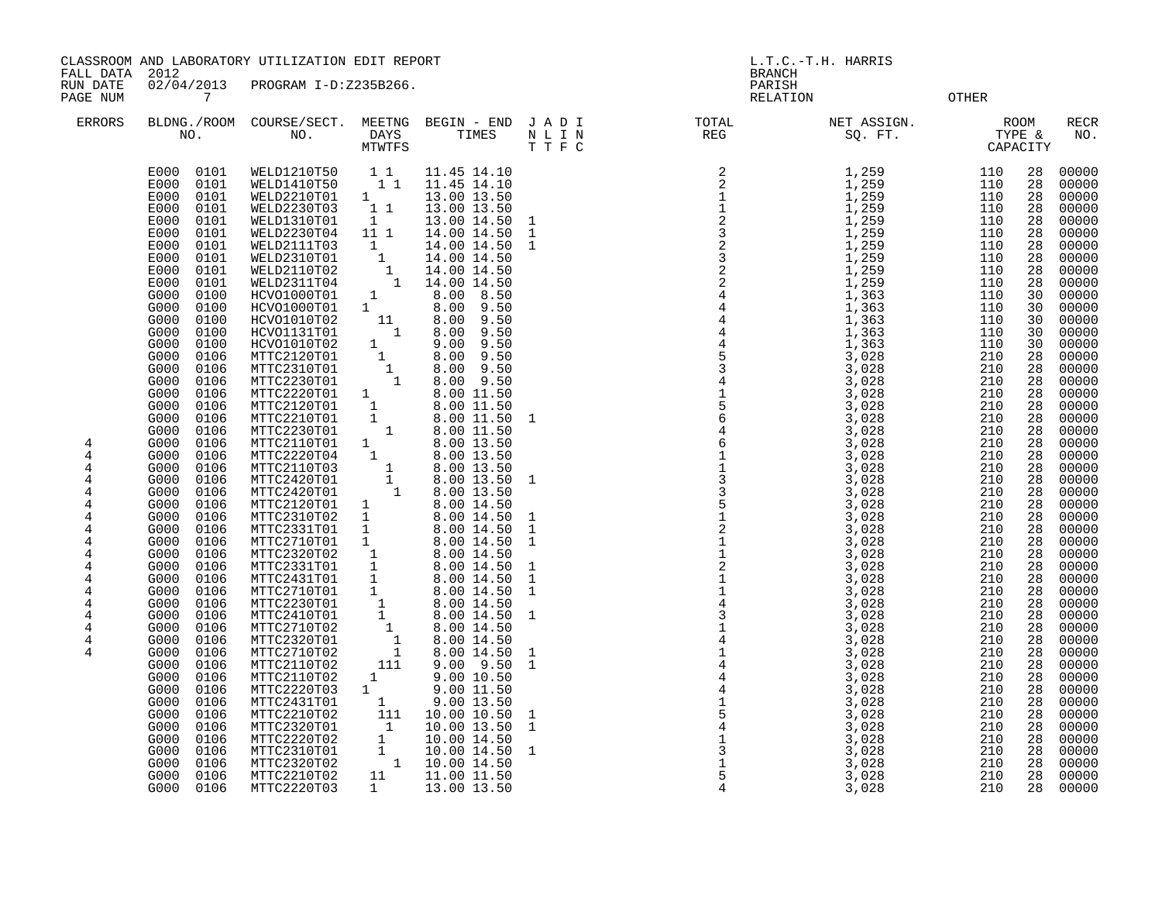CLASSROOM AND LABORATORY UTILIZATION EDIT REPORT AND MONOGROUPS AND L.T.C.-T.H. HARRIS

FALL DATA 2012 BRANCH

RUN DATE 02/04/2013 PROGRAM I-D:Z235B266. PARISH

| PAGE NUM                                                      | 7                                                                                                                                                                                                                                                                                                                                                                                                                                                                                                                                                                                                                                                                                                                                                      |                                                                                                                                                                                                                                                                                                                                                                                                                                                                                                                                                                                                                                                                                                                |                                                                                                                                                                                                                                                                                                                                                                                                                                                                                                                                                                                                                                               |                                                                                                                                                                                                                                                                                                                                                                                                                                                                                                                                                                                                                                                                                                       |                                                                      | <b>RELATION</b>                                                                               |                                                                                                                                                                                                                                                                                                                                                                                                                            | <b>OTHER</b>                                                                                                                                                                                                                                                                                                                                                                                                                                                                                                                                                                                                                                                                                                                                                                                                                                                                                                                                                                                                                                     |  |
|---------------------------------------------------------------|--------------------------------------------------------------------------------------------------------------------------------------------------------------------------------------------------------------------------------------------------------------------------------------------------------------------------------------------------------------------------------------------------------------------------------------------------------------------------------------------------------------------------------------------------------------------------------------------------------------------------------------------------------------------------------------------------------------------------------------------------------|----------------------------------------------------------------------------------------------------------------------------------------------------------------------------------------------------------------------------------------------------------------------------------------------------------------------------------------------------------------------------------------------------------------------------------------------------------------------------------------------------------------------------------------------------------------------------------------------------------------------------------------------------------------------------------------------------------------|-----------------------------------------------------------------------------------------------------------------------------------------------------------------------------------------------------------------------------------------------------------------------------------------------------------------------------------------------------------------------------------------------------------------------------------------------------------------------------------------------------------------------------------------------------------------------------------------------------------------------------------------------|-------------------------------------------------------------------------------------------------------------------------------------------------------------------------------------------------------------------------------------------------------------------------------------------------------------------------------------------------------------------------------------------------------------------------------------------------------------------------------------------------------------------------------------------------------------------------------------------------------------------------------------------------------------------------------------------------------|----------------------------------------------------------------------|-----------------------------------------------------------------------------------------------|----------------------------------------------------------------------------------------------------------------------------------------------------------------------------------------------------------------------------------------------------------------------------------------------------------------------------------------------------------------------------------------------------------------------------|--------------------------------------------------------------------------------------------------------------------------------------------------------------------------------------------------------------------------------------------------------------------------------------------------------------------------------------------------------------------------------------------------------------------------------------------------------------------------------------------------------------------------------------------------------------------------------------------------------------------------------------------------------------------------------------------------------------------------------------------------------------------------------------------------------------------------------------------------------------------------------------------------------------------------------------------------------------------------------------------------------------------------------------------------|--|
| <b>ERRORS</b>                                                 |                                                                                                                                                                                                                                                                                                                                                                                                                                                                                                                                                                                                                                                                                                                                                        |                                                                                                                                                                                                                                                                                                                                                                                                                                                                                                                                                                                                                                                                                                                |                                                                                                                                                                                                                                                                                                                                                                                                                                                                                                                                                                                                                                               |                                                                                                                                                                                                                                                                                                                                                                                                                                                                                                                                                                                                                                                                                                       |                                                                      | BLDNG./ROOM COURSE/SECT. MEETNG BEGIN – END JADI TOTAL TOTAL NI NO. DAYS TIMES NLIN NEG TTE C | TOTAL NET ASSIGN.                                                                                                                                                                                                                                                                                                                                                                                                          | ROOM<br><b>RECR</b><br>SQ. FT.<br>SQ. FT. TYPE & CAPACITY<br>NO.<br>CAPACITY                                                                                                                                                                                                                                                                                                                                                                                                                                                                                                                                                                                                                                                                                                                                                                                                                                                                                                                                                                     |  |
| 4<br>4<br>4<br>4<br>4<br>4<br>4<br>4<br>4<br>4<br>4<br>4<br>4 | E000 0101<br>0101<br>E000<br>E000 0101<br>E000<br>0101<br>E000<br>0101<br>E000<br>0101<br>0101<br>E000<br>0101<br>E000<br>E000<br>0101<br>E000<br>0101<br>0100<br>G000<br>G000<br>0100<br>0100<br>G000<br>0100<br>G000<br>0100<br>G000<br>G000<br>0106<br>G000<br>0106<br>0106<br>G000<br>G000<br>0106<br>G000<br>0106<br>G000<br>0106<br>G000<br>0106<br>G000<br>0106<br>G000<br>0106<br>0106<br>G000<br>0106<br>G000<br>0106<br>G000<br>G000<br>0106<br>G000<br>0106<br>G000<br>0106<br>0106<br>G000<br>0106<br>G000<br>0106<br>G000<br>G000<br>0106<br>0106<br>G000<br>G000<br>0106<br>G000<br>0106<br>0106<br>G000<br>0106<br>G000<br>0106<br>G000<br>0106<br>G000<br>0106<br>G000<br>G000<br>0106<br>0106<br>G000<br>G000<br>0106<br>G000<br>0106 | WELD1210T50<br>WELD1410T50<br>WELD2210T01<br>WELD2230T03<br>WELD1310T01<br>WELD2230T04<br>WELD2111T03<br>WELD2310T01<br>WELD2110T02<br>WELD2311T04<br>HCVO1000T01<br>HCVO1000T01<br>HCVO1010T02<br>HCV01131T01<br>HCVO1010T02<br>MTTC2120T01<br>MTTC2310T01<br>MTTC2230T01<br>MTTC2220T01<br>MTTC2120T01<br>MTTC2210T01<br>MTTC2230T01<br>MTTC2110T01<br>MTTC2220T04<br>MTTC2110T03<br>MTTC2420T01<br>MTTC2420T01<br>MTTC2120T01<br>MTTC2310T02<br>MTTC2331T01<br>MTTC2710T01<br>MTTC2320T02<br>MTTC2331T01<br>MTTC2431T01<br>MTTC2710T01<br>MTTC2230T01<br>MTTC2410T01<br>MTTC2710T02<br>MTTC2320T01<br>MTTC2710T02<br>MTTC2110T02<br>MTTC2110T02<br>MTTC2220T03<br>MTTC2431T01<br>MTTC2210T02<br>MTTC2320T01 | $1\quad1$<br>11<br>1<br>11<br>1<br>11 <sub>1</sub><br>1<br>$\begin{bmatrix} 1\\ 1\\ 1\\ 1\\ \end{bmatrix}$<br>1<br>$1 \quad \blacksquare$<br>11<br>$\overline{1}$<br>1<br>1<br>$\begin{smallmatrix}1\\1\\1\\1\end{smallmatrix}$<br>$\mathbf{1}$<br>$\mathbf{1}$<br>$\overline{1}$<br>$\overline{1}$<br>$1 \quad$<br>1<br>$\begin{smallmatrix}1\\1\\1\\1\end{smallmatrix}$<br>$\begin{smallmatrix}1\\1\\1\\1\end{smallmatrix}$<br>$\mathbf{1}$<br>$\mathbf{1}$<br>$\mathbf{1}$<br>$\mathbf{1}$<br>$\mathbf{1}$<br>$\begin{bmatrix} 1 \\ 1 \\ 1 \\ 1 \\ 1 \\ 1 \end{bmatrix}$<br>111<br>1<br>$1 \quad \blacksquare$<br>1<br>111<br>$\mathbf{1}$ | 11.45 14.10<br>11.45 14.10<br>13.00 13.50<br>13.00 13.50<br>13.00 14.50 1<br>14.00 14.50 1<br>14.00 14.50 1<br>14.00 14.50<br>14.00 14.50<br>14.00 14.50<br>8.00 8.50<br>8.00 9.50<br>8.00 9.50<br>8.00 9.50<br>9.00<br>9.50<br>8.00<br>9.50<br>8.00 9.50<br>8.00 9.50<br>8.00 11.50<br>8.00 11.50<br>8.00 11.50 1<br>8.00 11.50<br>8.00 13.50<br>8.00 13.50<br>8.00 13.50<br>8.00 13.50 1<br>8.00 13.50<br>8.00 14.50<br>8.00 14.50 1<br>8.00 14.50<br>8.00 14.50 1<br>8.00 14.50<br>8.00 14.50 1<br>8.00 14.50<br>8.00 14.50 1<br>8.00 14.50<br>8.00 14.50 1<br>8.00 14.50<br>8.00 14.50<br>8.00 14.50 1<br>$9.00$ $9.50$ 1<br>9.00 10.50<br>9.00 11.50<br>9.00 13.50<br>10.00 10.50<br>10.00 13.50 | $\overline{1}$<br>$\overline{1}$<br>$\overline{1}$<br>$\overline{1}$ |                                                                                               | 1,259<br>1,259<br>1,259<br>1,259<br>1,259<br>1,259<br>1,259<br>1,259<br>1,259<br>1,259<br>1,363<br>1,363<br>1,363<br>1,363<br>1,363<br>3,028<br>3,028<br>3,028<br>3,028<br>3,028<br>3,028<br>3,028<br>3,028<br>3,028<br>3,028<br>3,028<br>3,028<br>3,028<br>3,028<br>3,028<br>3,028<br>3,028<br>3,028<br>3,028<br>3,028<br>3,028<br>3,028<br>3,028<br>3,028<br>3,028<br>3,028<br>3,028<br>3,028<br>3,028<br>3,028<br>3,028 | 00000<br>110<br>28<br>00000<br>110<br>28<br>00000<br>110<br>28<br>110<br>00000<br>28<br>110<br>28<br>00000<br>110<br>28<br>00000<br>00000<br>110<br>28<br>110<br>28<br>00000<br>28<br>00000<br>110<br>110<br>28<br>00000<br>00000<br>110<br>30<br>110<br>00000<br>30<br>00000<br>110<br>30<br>110<br>30<br>00000<br>30<br>00000<br>110<br>210<br>28<br>00000<br>210<br>28<br>00000<br>210<br>28<br>00000<br>210<br>00000<br>28<br>210<br>00000<br>28<br>210<br>28<br>00000<br>210<br>28<br>00000<br>210<br>28<br>00000<br>210<br>28<br>00000<br>210<br>00000<br>28<br>210<br>00000<br>28<br>210<br>28<br>00000<br>210<br>28<br>00000<br>210<br>28<br>00000<br>210<br>28<br>00000<br>210<br>28<br>00000<br>210<br>28<br>00000<br>210<br>28<br>00000<br>210<br>28<br>00000<br>210<br>00000<br>28<br>210<br>28<br>00000<br>210<br>28<br>00000<br>28<br>00000<br>210<br>210<br>28<br>00000<br>210<br>28<br>00000<br>210<br>28<br>00000<br>210<br>28<br>00000<br>210<br>28<br>00000<br>210<br>28<br>00000<br>210<br>28<br>00000<br>210<br>28<br>00000 |  |

G000 0106 MTTC2220T02 1 10.00 14.50 1 3,028 210 28 00000  $G000$   $G106$   $MTTC2310T01$   $1$   $10.00$   $14.50$   $1$   $3$   $3.028$   $210$   $28$  00000<br> $G000$   $G106$   $MTTC2320T02$   $1$   $10.00$   $14.50$   $1$   $3,028$   $210$   $28$  00000 G000 0106 MTTC2320T02 1 10.00 14.50 1 3,028 210 28 00000 G000 0106 MTTC2210T02 11 11.00 11.50 5 3,028 210 28 00000 G000 0106 MTTC2220T03 1 13.00 13.50 4 3,028 210 28 00000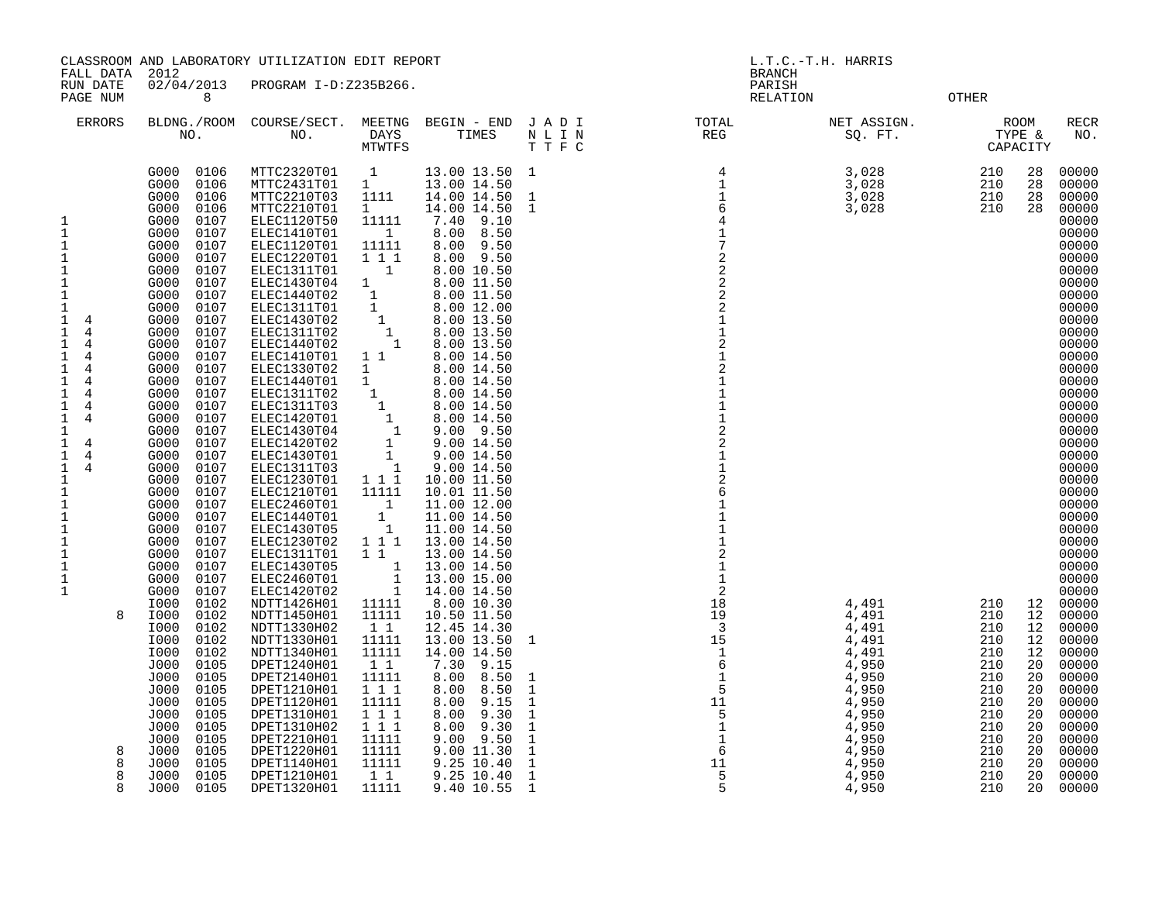FALL DATA 2012 BRANCH RUN DATE 02/04/2013 PROGRAM I-D:Z235B266. PARISH

PAGE NUM 8 RELATION OTHER

ERRORS BLDNG./ROOM COURSE/SECT. MEETNG BEGIN – END J A D I TOTAL AT MET ASSIGN. A ROOM RECR RECR NO. DAYS TIMES N L I N DAYS TIMES NLIN REG SQ.FT. TYPE & NO. PORT TO REG SOLE TO SAPACITY

|                                                                                                                                                                                                                                                                                                                                                                                                                                                                                                                                                                                                                                                                                                                                                                                                                                                                                                                                                                                                                                                                                                                                                                                                                                                                                                                                                                                                                                                                                                                                                                                                                                                                                                                                                                                                                                                                                                                                                                                                                                                                                   | MTWTFS                                                                                                                                                                                                                                                                                                                                                                                                                                                                                                                                                              |                                                                                                                                                                                                                                                                                                                                                                                                                                                                                                                                                                                                                                                                                                                                                                                      | TTFC                                                                                                                                                                                                                                                                                                                                                                                                                                                                                                                                                                                                                                                                                                                                                                    |                                                                                                                                                                                  |                                                                                                                                          | CAPACITY                                                                                                             |                                                                                                                                                                                                                                                                                                                                                                                                                                                                         |
|-----------------------------------------------------------------------------------------------------------------------------------------------------------------------------------------------------------------------------------------------------------------------------------------------------------------------------------------------------------------------------------------------------------------------------------------------------------------------------------------------------------------------------------------------------------------------------------------------------------------------------------------------------------------------------------------------------------------------------------------------------------------------------------------------------------------------------------------------------------------------------------------------------------------------------------------------------------------------------------------------------------------------------------------------------------------------------------------------------------------------------------------------------------------------------------------------------------------------------------------------------------------------------------------------------------------------------------------------------------------------------------------------------------------------------------------------------------------------------------------------------------------------------------------------------------------------------------------------------------------------------------------------------------------------------------------------------------------------------------------------------------------------------------------------------------------------------------------------------------------------------------------------------------------------------------------------------------------------------------------------------------------------------------------------------------------------------------|---------------------------------------------------------------------------------------------------------------------------------------------------------------------------------------------------------------------------------------------------------------------------------------------------------------------------------------------------------------------------------------------------------------------------------------------------------------------------------------------------------------------------------------------------------------------|--------------------------------------------------------------------------------------------------------------------------------------------------------------------------------------------------------------------------------------------------------------------------------------------------------------------------------------------------------------------------------------------------------------------------------------------------------------------------------------------------------------------------------------------------------------------------------------------------------------------------------------------------------------------------------------------------------------------------------------------------------------------------------------|-------------------------------------------------------------------------------------------------------------------------------------------------------------------------------------------------------------------------------------------------------------------------------------------------------------------------------------------------------------------------------------------------------------------------------------------------------------------------------------------------------------------------------------------------------------------------------------------------------------------------------------------------------------------------------------------------------------------------------------------------------------------------|----------------------------------------------------------------------------------------------------------------------------------------------------------------------------------|------------------------------------------------------------------------------------------------------------------------------------------|----------------------------------------------------------------------------------------------------------------------|-------------------------------------------------------------------------------------------------------------------------------------------------------------------------------------------------------------------------------------------------------------------------------------------------------------------------------------------------------------------------------------------------------------------------------------------------------------------------|
| G000<br>0106<br>MTTC2320T01<br>G000<br>0106<br>MTTC2431T01<br>G000<br>0106<br>MTTC2210T03<br>0106<br>MTTC2210T01<br>G000<br><b>ELEC1120T50</b><br>G000<br>0107<br>1<br>$\mathbf{1}$<br>0107<br>ELEC1410T01<br>G000<br>$\mathbf 1$<br>G000<br>0107<br>ELEC1120T01<br>$\mathbf{1}$<br>0107<br>ELEC1220T01<br>G000<br>$\mathbf 1$<br>ELEC1311T01<br>G000<br>0107<br>$1\,$<br>ELEC1430T04<br>G000<br>0107<br>$\mathbf 1$<br>0107<br>ELEC1440T02<br>G000<br>$\mathbf 1$<br>0107<br>ELEC1311T01<br>G000<br>1<br>0107<br>ELEC1430T02<br>$\overline{4}$<br>G000<br>1<br>4<br>ELEC1311T02<br>0107<br>G000<br>4<br>0107<br>ELEC1440T02<br>1<br>G000<br>ELEC1410T01<br>1<br>4<br>G000<br>0107<br>1<br>ELEC1330T02<br>G000<br>0107<br>4<br>1<br>ELEC1440T01<br>4<br>G000<br>0107<br>1<br>4<br>0107<br>ELEC1311T02<br>G000<br>0107<br>ELEC1311T03<br>1<br>4<br>G000<br>ELEC1420T01<br>1<br>4<br>G000<br>0107<br>1<br>ELEC1430T04<br>G000<br>0107<br>$\overline{4}$<br>ELEC1420T02<br>1<br>G000<br>0107<br>1<br>4<br>0107<br>ELEC1430T01<br>G000<br>1<br>4<br>0107<br>ELEC1311T03<br>G000<br>$\mathbf 1$<br>0107<br>ELEC1230T01<br>G000<br>$1\,$<br>ELEC1210T01<br>G000<br>0107<br>$1\,$<br>ELEC2460T01<br>G000<br>0107<br>$1\,$<br>ELEC1440T01<br>G000<br>0107<br>$\mathbf{1}$<br>0107<br>ELEC1430T05<br>G000<br>$\mathbf 1$<br>0107<br>ELEC1230T02<br>G000<br>$\mathbf 1$<br>0107<br>ELEC1311T01<br>G000<br>$\mathbf{1}$<br>ELEC1430T05<br>0107<br>G000<br>$\mathbf 1$<br>ELEC2460T01<br>G000<br>0107<br>$\mathbf{1}$<br>0107<br>ELEC1420T02<br>G000<br>0102<br>NDTT1426H01<br>I000<br>8<br>0102<br>NDTT1450H01<br>I000<br>I000<br>0102<br>NDTT1330H02<br>NDTT1330H01<br>I000<br>0102<br>NDTT1340H01<br>0102<br>I000<br>0105<br>DPET1240H01<br>J000<br>DPET2140H01<br>J000<br>0105<br>0105<br>DPET1210H01<br>J000<br>J000<br>0105<br>DPET1120H01<br>0105<br>DPET1310H01<br>J000<br>0105<br>DPET1310H02<br>J000<br>DPET2210H01<br>0105<br>J000<br>DPET1220H01<br>8<br>J000<br>0105<br>8<br>0105<br>DPET1140H01<br>J000<br>0105<br>DPET1210H01<br>8<br>J000<br>8<br>J000<br>0105<br>DPET1320H01 | 1<br>$\mathbf{1}$<br>1111<br>$\mathbf{1}$<br>11111<br>$\mathbf{1}$<br>11111<br>1 1 1<br>$\mathbf{1}$<br>$\mathbf 1$<br>1<br>$\mathbf{1}$<br>$\mathbf{1}$<br>1<br>1<br>$1\quad1$<br>$\mathbf{1}$<br>$\mathbf{1}$<br>$\mathbf{1}$<br>$\mathbf{1}$<br>1<br>1<br>1<br>$\mathbf{1}$<br>1<br>1 1 1<br>11111<br>$\mathbf{1}$<br>$\mathbf{1}$<br>$\mathbf{1}$<br>111<br>$1\quad1$<br>$\mathbf{1}$<br>1<br>$\mathbf 1$<br>11111<br>11111<br>$1\quad1$<br>11111<br>11111<br>$1\quad1$<br>11111<br>111<br>11111<br>111<br>111<br>11111<br>11111<br>11111<br>$1\quad1$<br>11111 | 13.00 13.50 1<br>13.00 14.50<br>14.00 14.50<br>14.00 14.50<br>9.10<br>7.40<br>8.00<br>8.50<br>8.00<br>9.50<br>$8.00$ $9.50$<br>8.00 10.50<br>8.00 11.50<br>8.00 11.50<br>8.00 12.00<br>8.00 13.50<br>8.00 13.50<br>8.00 13.50<br>8.00 14.50<br>8.00 14.50<br>8.00 14.50<br>8.00 14.50<br>8.00 14.50<br>8.00 14.50<br>$9.00$ $9.50$<br>9.00 14.50<br>9.00 14.50<br>9.00 14.50<br>10.00 11.50<br>10.01 11.50<br>11.00 12.00<br>11.00 14.50<br>11.00 14.50<br>13.00 14.50<br>13.00 14.50<br>13.00 14.50<br>13.00 15.00<br>14.00 14.50<br>8.00 10.30<br>10.50 11.50<br>12.45 14.30<br>13.00 13.50<br>14.00 14.50<br>7.30<br>9.15<br>8.00<br>8.50<br>8.00<br>8.50<br>8.00<br>9.15<br>8.00<br>9.30<br>8.00<br>9.30<br>9.50<br>9.00<br>9.00 11.30<br>9.25 10.40<br>9.25 10.40<br>9.40 10.55 | 4<br>$\begin{array}{c}\n1 \\ 1 \\ 6\n\end{array}$<br>1<br>$\mathbf{1}$<br>$\begin{array}{c}\n4 \\ 1 \\ 7 \\ 2\n\end{array}$<br>$\overline{a}$<br>$\begin{bmatrix} 2 \\ 2 \\ 1 \end{bmatrix}$<br>$\overline{1}$<br>$\begin{array}{c} 2 \\ 1 \\ 2 \end{array}$<br>$\begin{array}{c} 1 \\ 1 \end{array}$<br>$\mathbf 1$<br>$\frac{1}{2}$<br>$\frac{1}{1}$<br>$\frac{2}{6}$<br>$\begin{array}{c} 1 \\ 1 \\ 1 \end{array}$<br>$\begin{array}{c}\n1 \\ 2 \\ 1 \\ 1\n\end{array}$<br>18<br>19<br>$\overline{\mathbf{3}}$<br>15<br>1<br>$\mathbf{1}$<br>$\sqrt{6}$<br>$\mathbf{1}$<br>1<br>5<br>$\mathbf{1}$<br>11<br>$\mathbf{1}$<br>5<br>$\mathbf 1$<br>$\frac{1}{1}$ $\frac{1}{6}$<br>$\mathbf{1}$<br>$\mathbf{1}$<br>$\mathbf{1}$<br>11<br>1<br>5<br>$\mathbf{1}$<br>5<br>1 | 3,028<br>3,028<br>3,028<br>3,028<br>4,491<br>4,491<br>4,491<br>4,491<br>4,491<br>4,950<br>4,950<br>4,950<br>4,950<br>4,950<br>4,950<br>4,950<br>4,950<br>4,950<br>4,950<br>4,950 | 210<br>210<br>210<br>210<br>210<br>210<br>210<br>210<br>210<br>210<br>210<br>210<br>210<br>210<br>210<br>210<br>210<br>210<br>210<br>210 | 28<br>28<br>28<br>28<br>12<br>12<br>12<br>12<br>12<br>20<br>20<br>20<br>20<br>20<br>20<br>20<br>20<br>20<br>20<br>20 | 00000<br>00000<br>00000<br>00000<br>00000<br>00000<br>00000<br>00000<br>00000<br>00000<br>00000<br>00000<br>00000<br>00000<br>00000<br>00000<br>00000<br>00000<br>00000<br>00000<br>00000<br>00000<br>00000<br>00000<br>00000<br>00000<br>00000<br>00000<br>00000<br>00000<br>00000<br>00000<br>00000<br>00000<br>00000<br>00000<br>00000<br>00000<br>00000<br>00000<br>00000<br>00000<br>00000<br>00000<br>00000<br>00000<br>00000<br>00000<br>00000<br>00000<br>00000 |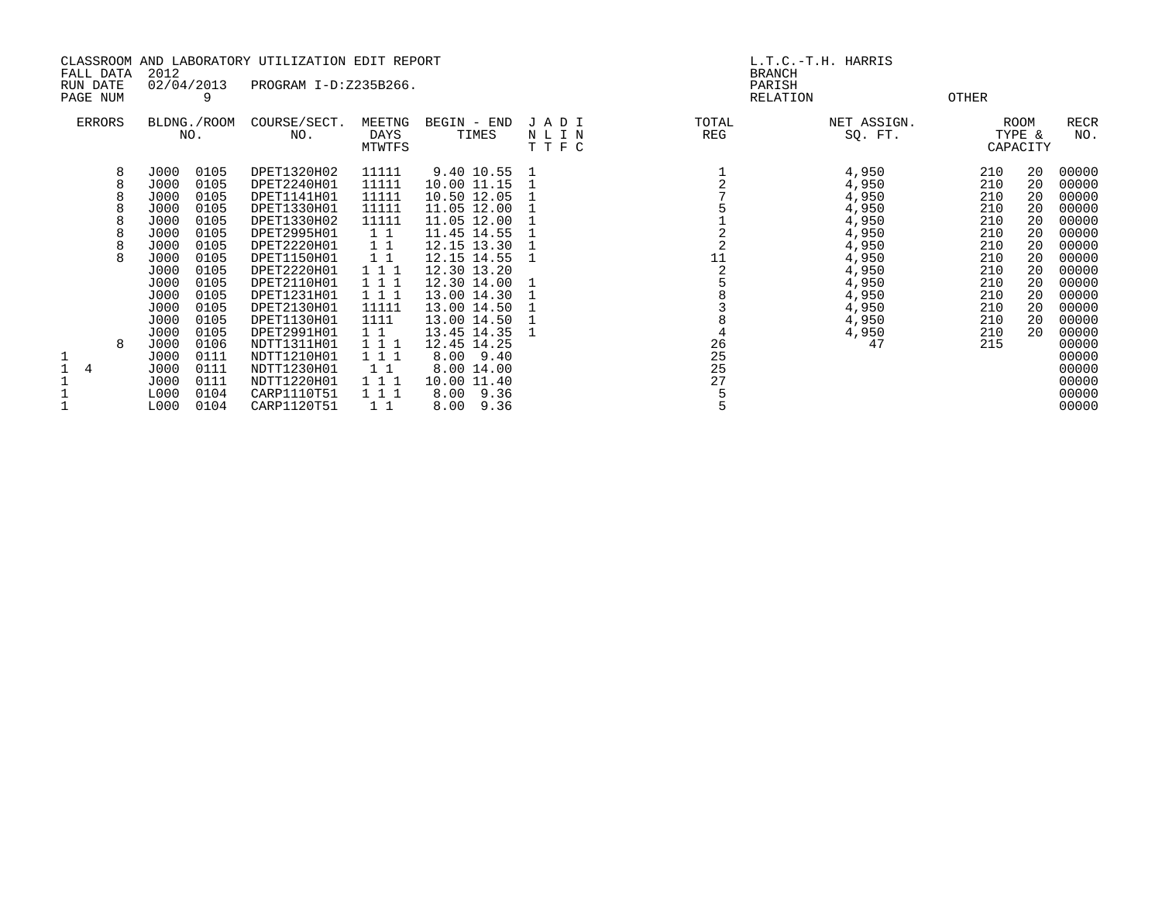|   | CLASSROOM AND LABORATORY UTILIZATION EDIT REPORT<br>2012<br>FALL DATA<br>02/04/2013<br>PROGRAM I-D:Z235B266.<br>RUN DATE |      |                    |                     |                          | L.T.C.-T.H. HARRIS<br><b>BRANCH</b><br>PARISH<br>RELATION |                      |                          |                        |       |                            |                    |
|---|--------------------------------------------------------------------------------------------------------------------------|------|--------------------|---------------------|--------------------------|-----------------------------------------------------------|----------------------|--------------------------|------------------------|-------|----------------------------|--------------------|
|   | PAGE NUM                                                                                                                 |      | 9                  |                     |                          |                                                           |                      |                          |                        | OTHER |                            |                    |
|   | ERRORS                                                                                                                   |      | BLDNG./ROOM<br>NO. | COURSE/SECT.<br>NO. | MEETNG<br>DAYS<br>MTWTFS | BEGIN - END<br>TIMES                                      | JADI<br>NLIN<br>TTFC | TOTAL<br>REG             | NET ASSIGN.<br>SQ. FT. |       | ROOM<br>TYPE &<br>CAPACITY | <b>RECR</b><br>NO. |
|   | 8                                                                                                                        | J000 | 0105               | DPET1320H02         | 11111                    | 9.40 10.55 1                                              |                      |                          | 4,950                  | 210   | 20                         | 00000              |
|   |                                                                                                                          | J000 | 0105               | DPET2240H01         | 11111                    | 10.00 11.15                                               |                      |                          | 4,950                  | 210   | 20                         | 00000              |
|   |                                                                                                                          | J000 | 0105               | DPET1141H01         | 11111                    | 10.50 12.05                                               |                      |                          | 4,950                  | 210   | 20                         | 00000              |
|   |                                                                                                                          | J000 | 0105               | DPET1330H01         | 11111                    | 11.05 12.00                                               |                      |                          | 4,950                  | 210   | 20                         | 00000              |
|   |                                                                                                                          | J000 | 0105               | DPET1330H02         | 11111                    | 11.05 12.00                                               |                      |                          | 4,950                  | 210   | 20                         | 00000              |
|   |                                                                                                                          | J000 | 0105               | DPET2995H01         | 1 1                      | 11.45 14.55                                               |                      | $\frac{1}{2}$<br>11<br>2 | 4,950                  | 210   | 20                         | 00000              |
|   |                                                                                                                          | J000 | 0105               | DPET2220H01         | 1 1                      | 12.15 13.30                                               |                      |                          | 4,950                  | 210   | 20                         | 00000              |
|   |                                                                                                                          | J000 | 0105               | DPET1150H01         | $1\quad1$                | 12.15 14.55                                               |                      |                          | 4,950                  | 210   | 20                         | 00000              |
|   |                                                                                                                          | J000 | 0105               | DPET2220H01         | 1 1 1                    | 12.30 13.20                                               |                      |                          | 4,950                  | 210   | 20                         | 00000              |
|   |                                                                                                                          | J000 | 0105               | DPET2110H01         | 1 1 1                    | 12.30 14.00                                               |                      |                          | 4,950                  | 210   | 20                         | 00000              |
|   |                                                                                                                          | J000 | 0105               | DPET1231H01         | 1 1 1                    | 13.00 14.30                                               |                      |                          | 4,950                  | 210   | 20                         | 00000              |
|   |                                                                                                                          | J000 | 0105               | DPET2130H01         | 11111                    | 13.00 14.50                                               |                      |                          | 4,950                  | 210   | 20                         | 00000              |
|   |                                                                                                                          | J000 | 0105               | DPET1130H01         | 1111                     | 13.00 14.50                                               |                      |                          | 4,950                  | 210   | 20                         | 00000              |
|   |                                                                                                                          | J000 | 0105               | DPET2991H01         | $1\quad1$                | 13.45 14.35                                               |                      |                          | 4,950                  | 210   | 20                         | 00000              |
|   | 8                                                                                                                        | J000 | 0106               | NDTT1311H01         | 1 1 1                    | 12.45 14.25                                               |                      | 26                       | 47                     | 215   |                            | 00000              |
| 1 |                                                                                                                          | J000 | 0111               | NDTT1210H01         | 1 1 1                    | $8.00$ $9.40$                                             |                      | 25                       |                        |       |                            | 00000              |
|   |                                                                                                                          | J000 | 0111               | NDTT1230H01         | 11                       | 8.00 14.00                                                |                      | 25                       |                        |       |                            | 00000              |
|   |                                                                                                                          | J000 | 0111               | NDTT1220H01         | 1 1 1                    | 10.00 11.40                                               |                      | 27                       |                        |       |                            | 00000              |
|   |                                                                                                                          | L000 | 0104               | CARP1110T51         | 1 1 1                    | $8.00$ 9.36                                               |                      |                          |                        |       |                            | 00000              |
|   |                                                                                                                          | L000 | 0104               | CARP1120T51         | $1\quad1$                | $8.00 \quad 9.36$                                         |                      |                          |                        |       |                            | 00000              |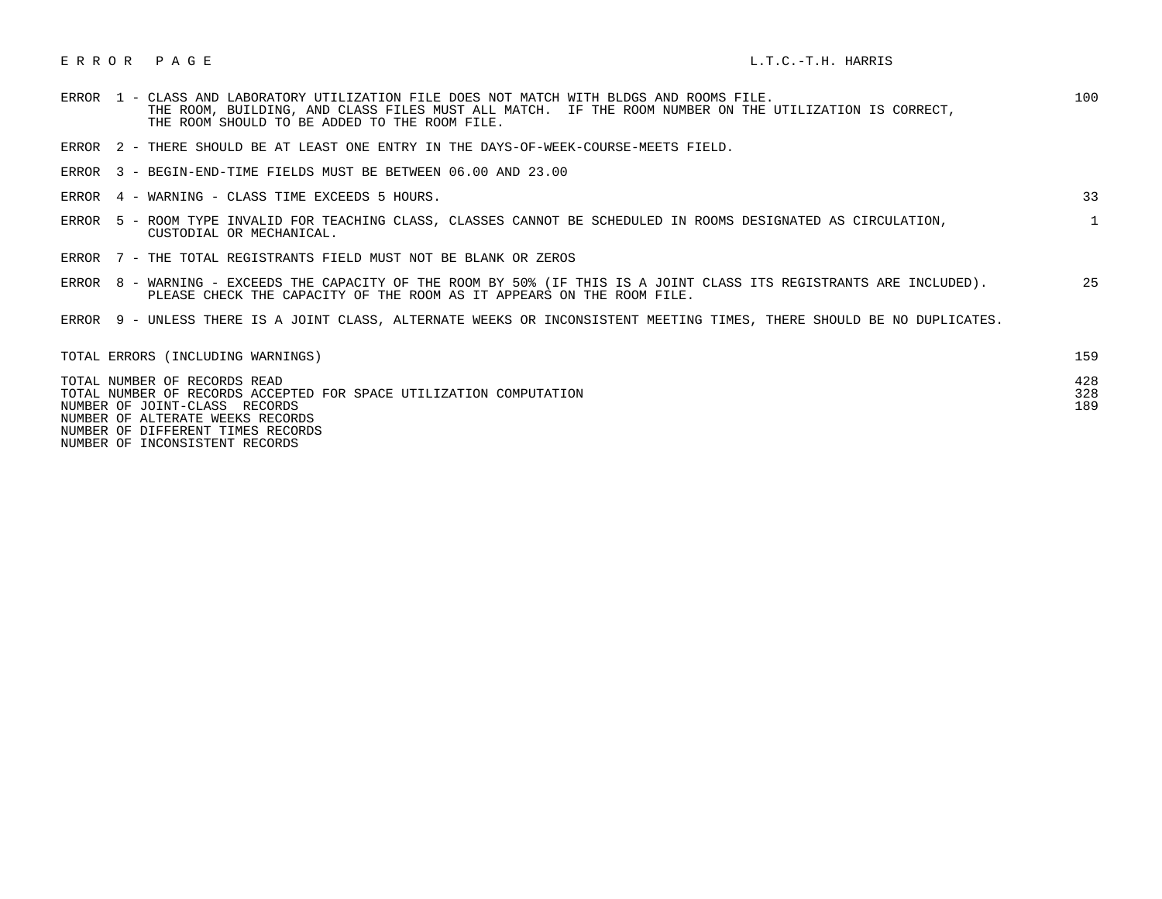# E R R O R P A G E L.T.C.-T.H. HARRIS

| ERROR 1 - CLASS AND LABORATORY UTILIZATION FILE DOES NOT MATCH WITH BLDGS AND ROOMS FILE.<br>THE ROOM, BUILDING, AND CLASS FILES MUST ALL MATCH. IF THE ROOM NUMBER ON THE UTILIZATION IS CORRECT,<br>THE ROOM SHOULD TO BE ADDED TO THE ROOM FILE. | 100               |
|-----------------------------------------------------------------------------------------------------------------------------------------------------------------------------------------------------------------------------------------------------|-------------------|
| ERROR 2 - THERE SHOULD BE AT LEAST ONE ENTRY IN THE DAYS-OF-WEEK-COURSE-MEETS FIELD.                                                                                                                                                                |                   |
| ERROR 3 - BEGIN-END-TIME FIELDS MUST BE BETWEEN 06.00 AND 23.00                                                                                                                                                                                     |                   |
| 4 - WARNING - CLASS TIME EXCEEDS 5 HOURS.<br>ERROR                                                                                                                                                                                                  | 33                |
| 5 - ROOM TYPE INVALID FOR TEACHING CLASS, CLASSES CANNOT BE SCHEDULED IN ROOMS DESIGNATED AS CIRCULATION,<br>ERROR<br>CUSTODIAL OR MECHANICAL.                                                                                                      |                   |
| ERROR 7 - THE TOTAL REGISTRANTS FIELD MUST NOT BE BLANK OR ZEROS                                                                                                                                                                                    |                   |
| 8 - WARNING - EXCEEDS THE CAPACITY OF THE ROOM BY 50% (IF THIS IS A JOINT CLASS ITS REGISTRANTS ARE INCLUDED).<br>ERROR<br>PLEASE CHECK THE CAPACITY OF THE ROOM AS IT APPEARS ON THE ROOM FILE.                                                    | 25                |
| ERROR 9 - UNLESS THERE IS A JOINT CLASS, ALTERNATE WEEKS OR INCONSISTENT MEETING TIMES, THERE SHOULD BE NO DUPLICATES.                                                                                                                              |                   |
| TOTAL ERRORS (INCLUDING WARNINGS)                                                                                                                                                                                                                   | 159               |
| TOTAL NUMBER OF RECORDS READ<br>TOTAL NUMBER OF RECORDS ACCEPTED FOR SPACE UTILIZATION COMPUTATION<br>NUMBER OF JOINT-CLASS RECORDS                                                                                                                 | 428<br>328<br>189 |

NUMBER OF ALTERATE WEEKS RECORDS

NUMBER OF DIFFERENT TIMES RECORDS

NUMBER OF INCONSISTENT RECORDS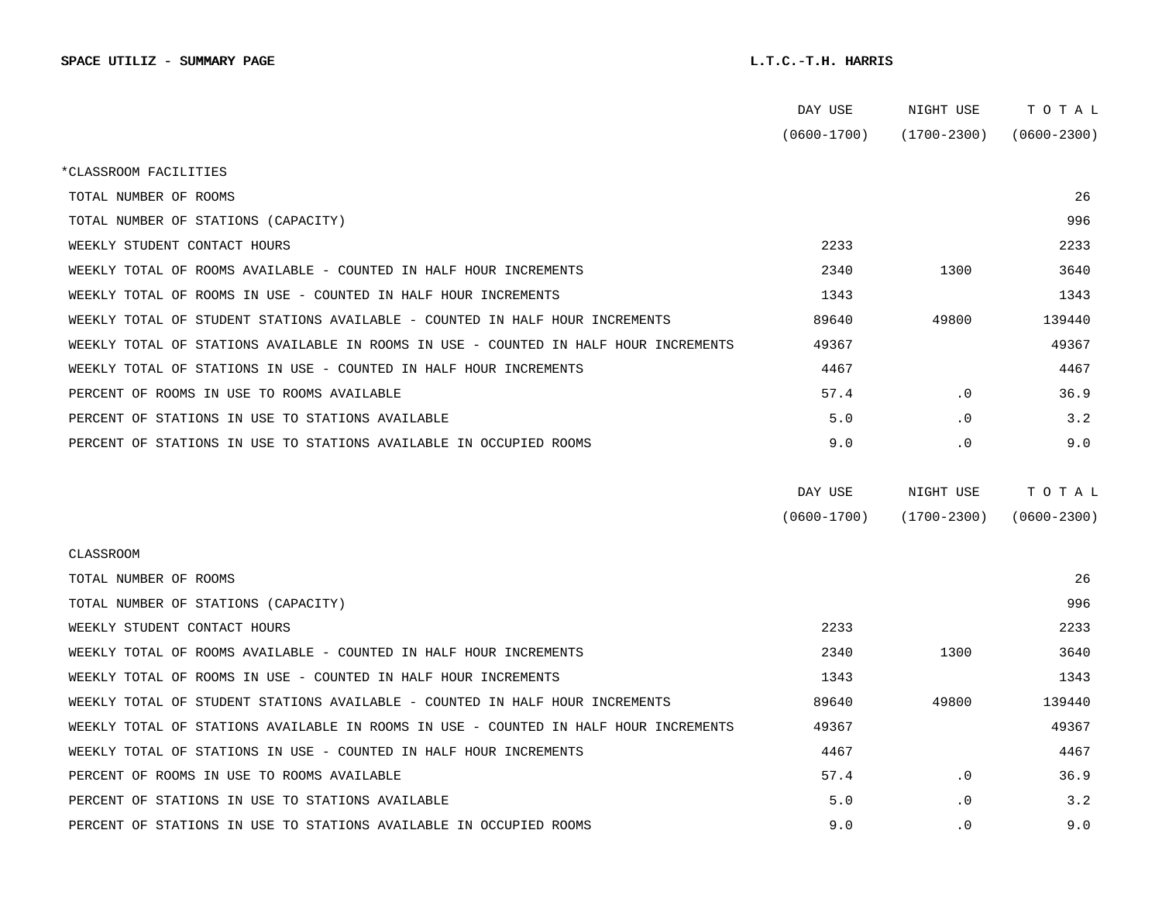|                                                                                      | DAY USE         | NIGHT USE       | TOTAL           |  |
|--------------------------------------------------------------------------------------|-----------------|-----------------|-----------------|--|
|                                                                                      | $(0600 - 1700)$ | (1700-2300)     | $(0600 - 2300)$ |  |
| *CLASSROOM FACILITIES                                                                |                 |                 |                 |  |
| TOTAL NUMBER OF ROOMS                                                                |                 |                 | 26              |  |
| TOTAL NUMBER OF STATIONS (CAPACITY)                                                  |                 |                 | 996             |  |
| WEEKLY STUDENT CONTACT HOURS                                                         | 2233            |                 | 2233            |  |
| WEEKLY TOTAL OF ROOMS AVAILABLE - COUNTED IN HALF HOUR INCREMENTS                    | 2340            | 1300            | 3640            |  |
| WEEKLY TOTAL OF ROOMS IN USE - COUNTED IN HALF HOUR INCREMENTS                       | 1343            |                 | 1343            |  |
| WEEKLY TOTAL OF STUDENT STATIONS AVAILABLE - COUNTED IN HALF HOUR INCREMENTS         | 89640           | 49800           | 139440          |  |
| WEEKLY TOTAL OF STATIONS AVAILABLE IN ROOMS IN USE - COUNTED IN HALF HOUR INCREMENTS | 49367           |                 | 49367           |  |
| WEEKLY TOTAL OF STATIONS IN USE - COUNTED IN HALF HOUR INCREMENTS                    | 4467            |                 | 4467            |  |
| PERCENT OF ROOMS IN USE TO ROOMS AVAILABLE                                           | 57.4            | $\cdot$ 0       | 36.9            |  |
| PERCENT OF STATIONS IN USE TO STATIONS AVAILABLE                                     | 5.0             | $\cdot$ 0       | 3.2             |  |
| PERCENT OF STATIONS IN USE TO STATIONS AVAILABLE IN OCCUPIED ROOMS                   | 9.0             | $\cdot$ 0       | 9.0             |  |
|                                                                                      |                 |                 |                 |  |
|                                                                                      | DAY USE         | NIGHT USE       | TOTAL           |  |
|                                                                                      | $(0600 - 1700)$ | $(1700 - 2300)$ | $(0600 - 2300)$ |  |
| <b>CLASSROOM</b>                                                                     |                 |                 |                 |  |
| TOTAL NUMBER OF ROOMS                                                                |                 |                 | 26              |  |
| TOTAL NUMBER OF STATIONS (CAPACITY)                                                  |                 |                 | 996             |  |
| WEEKLY STUDENT CONTACT HOURS                                                         | 2233            |                 | 2233            |  |
| WEEKLY TOTAL OF ROOMS AVAILABLE - COUNTED IN HALF HOUR INCREMENTS                    | 2340            | 1300            | 3640            |  |
| WEEKLY TOTAL OF ROOMS IN USE - COUNTED IN HALF HOUR INCREMENTS                       | 1343            |                 | 1343            |  |
| WEEKLY TOTAL OF STUDENT STATIONS AVAILABLE - COUNTED IN HALF HOUR INCREMENTS         | 89640           | 49800           | 139440          |  |
| WEEKLY TOTAL OF STATIONS AVAILABLE IN ROOMS IN USE - COUNTED IN HALF HOUR INCREMENTS | 49367           |                 | 49367           |  |
| WEEKLY TOTAL OF STATIONS IN USE - COUNTED IN HALF HOUR INCREMENTS                    | 4467            |                 | 4467            |  |
| PERCENT OF ROOMS IN USE TO ROOMS AVAILABLE                                           | 57.4            | $\cdot$ 0       | 36.9            |  |
| PERCENT OF STATIONS IN USE TO STATIONS AVAILABLE                                     | 5.0             | $\cdot$ 0       | 3.2             |  |
| PERCENT OF STATIONS IN USE TO STATIONS AVAILABLE IN OCCUPIED ROOMS                   | 9.0             | $\cdot$ 0       | 9.0             |  |